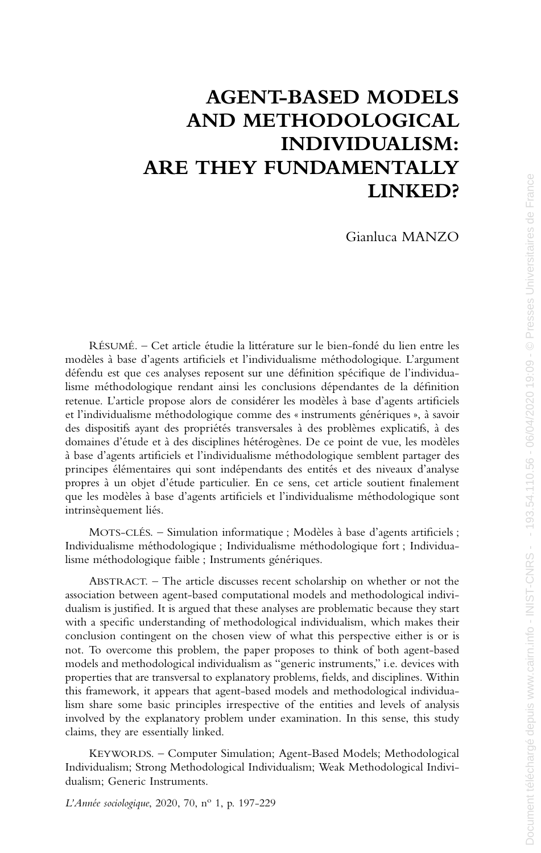# **AGENT-BASED MODELS AND METHODOLOGICAL INDIVIDUALISM: ARE THEY FUNDAMENTALLY LINKED?**

Gianluca MANZO

RÉSUMÉ. – Cet article étudie la littérature sur le bien-fondé du lien entre les modèles à base d'agents artificiels et l'individualisme méthodologique. L'argument défendu est que ces analyses reposent sur une définition spécifique de l'individualisme méthodologique rendant ainsi les conclusions dépendantes de la définition retenue. L'article propose alors de considérer les modèles à base d'agents artificiels et l'individualisme méthodologique comme des « instruments génériques », à savoir des dispositifs ayant des propriétés transversales à des problèmes explicatifs, à des domaines d'étude et à des disciplines hétérogènes. De ce point de vue, les modèles à base d'agents artificiels et l'individualisme méthodologique semblent partager des principes élémentaires qui sont indépendants des entités et des niveaux d'analyse propres à un objet d'étude particulier. En ce sens, cet article soutient finalement que les modèles à base d'agents artificiels et l'individualisme méthodologique sont intrinsèquement liés.

MOTS-CLÉS. – Simulation informatique ; Modèles à base d'agents artificiels ; Individualisme méthodologique ; Individualisme méthodologique fort ; Individualisme méthodologique faible ; Instruments génériques.

ABSTRACT. – The article discusses recent scholarship on whether or not the association between agent-based computational models and methodological individualism is justified. It is argued that these analyses are problematic because they start with a specific understanding of methodological individualism, which makes their conclusion contingent on the chosen view of what this perspective either is or is not. To overcome this problem, the paper proposes to think of both agent-based models and methodological individualism as "generic instruments," i.e. devices with properties that are transversal to explanatory problems, fields, and disciplines. Within this framework, it appears that agent-based models and methodological individualism share some basic principles irrespective of the entities and levels of analysis involved by the explanatory problem under examination. In this sense, this study claims, they are essentially linked.

KEYWORDS. – Computer Simulation; Agent-Based Models; Methodological Individualism; Strong Methodological Individualism; Weak Methodological Individualism; Generic Instruments.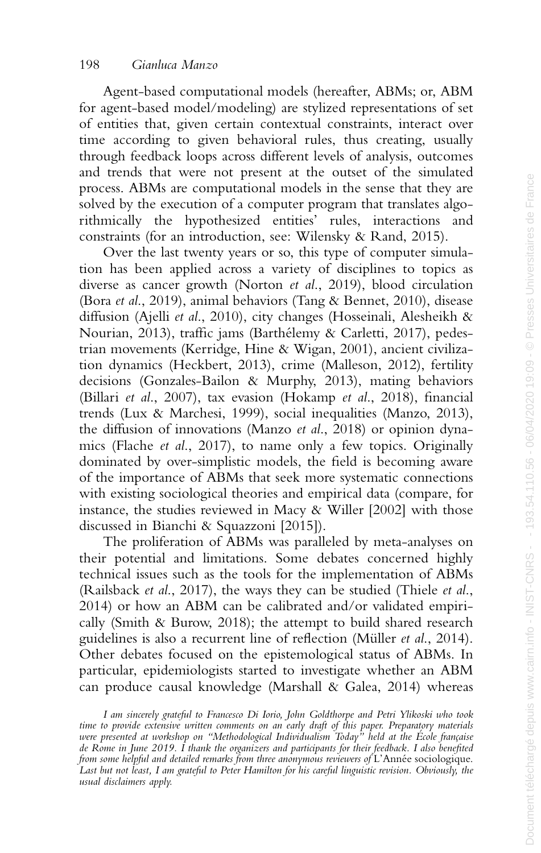Agent-based computational models (hereafter, ABMs; or, ABM for agent-based model/modeling) are stylized representations of set of entities that, given certain contextual constraints, interact over time according to given behavioral rules, thus creating, usually through feedback loops across different levels of analysis, outcomes and trends that were not present at the outset of the simulated process. ABMs are computational models in the sense that they are solved by the execution of a computer program that translates algorithmically the hypothesized entities' rules, interactions and constraints (for an introduction, see: Wilensky & Rand, 2015).

Over the last twenty years or so, this type of computer simulation has been applied across a variety of disciplines to topics as diverse as cancer growth (Norton *et al*., 2019), blood circulation (Bora *et al*., 2019), animal behaviors (Tang & Bennet, 2010), disease diffusion (Ajelli *et al*., 2010), city changes (Hosseinali, Alesheikh & Nourian, 2013), traffic jams (Barthélemy & Carletti, 2017), pedestrian movements (Kerridge, Hine & Wigan, 2001), ancient civilization dynamics (Heckbert, 2013), crime (Malleson, 2012), fertility decisions (Gonzales-Bailon & Murphy, 2013), mating behaviors (Billari *et al*., 2007), tax evasion (Hokamp *et al*., 2018), financial trends (Lux & Marchesi, 1999), social inequalities (Manzo, 2013), the diffusion of innovations (Manzo *et al*., 2018) or opinion dynamics (Flache *et al*., 2017), to name only a few topics. Originally dominated by over-simplistic models, the field is becoming aware of the importance of ABMs that seek more systematic connections with existing sociological theories and empirical data (compare, for instance, the studies reviewed in Macy & Willer [2002] with those discussed in Bianchi & Squazzoni [2015]).

The proliferation of ABMs was paralleled by meta-analyses on their potential and limitations. Some debates concerned highly technical issues such as the tools for the implementation of ABMs (Railsback *et al*., 2017), the ways they can be studied (Thiele *et al*., 2014) or how an ABM can be calibrated and/or validated empirically (Smith & Burow, 2018); the attempt to build shared research guidelines is also a recurrent line of reflection (Müller *et al*., 2014). Other debates focused on the epistemological status of ABMs. In particular, epidemiologists started to investigate whether an ABM can produce causal knowledge (Marshall & Galea, 2014) whereas

*I am sincerely grateful to Francesco Di Iorio, John Goldthorpe and Petri Ylikoski who took time to provide extensive written comments on an early draft of this paper. Preparatory materials were presented at workshop on "Methodological Individualism Today" held at the École française de Rome in June 2019. I thank the organizers and participants for their feedback. I also benefited from some helpful and detailed remarks from three anonymous reviewers of* L'Année sociologique. *Last but not least, I am grateful to Peter Hamilton for his careful linguistic revision. Obviously, the usual disclaimers apply.*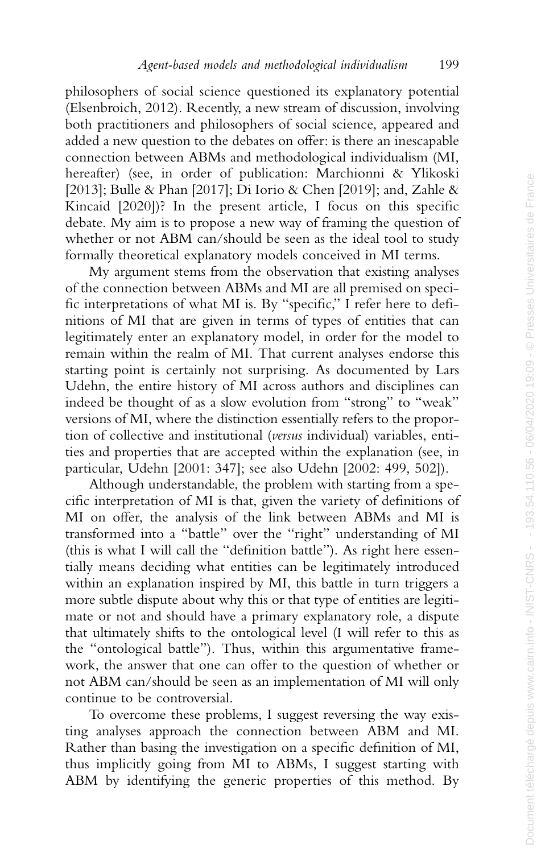philosophers of social science questioned its explanatory potential (Elsenbroich, 2012). Recently, a new stream of discussion, involving both practitioners and philosophers of social science, appeared and added a new question to the debates on offer: is there an inescapable connection between ABMs and methodological individualism (MI, hereafter) (see, in order of publication: Marchionni & Ylikoski [2013]; Bulle & Phan [2017]; Di Iorio & Chen [2019]; and, Zahle & Kincaid [2020])? In the present article, I focus on this specific debate. My aim is to propose a new way of framing the question of whether or not ABM can/should be seen as the ideal tool to study formally theoretical explanatory models conceived in MI terms.

My argument stems from the observation that existing analyses of the connection between ABMs and MI are all premised on specific interpretations of what MI is. By "specific," I refer here to definitions of MI that are given in terms of types of entities that can legitimately enter an explanatory model, in order for the model to remain within the realm of MI. That current analyses endorse this starting point is certainly not surprising. As documented by Lars Udehn, the entire history of MI across authors and disciplines can indeed be thought of as a slow evolution from "strong" to "weak" versions of MI, where the distinction essentially refers to the proportion of collective and institutional (*versus* individual) variables, entities and properties that are accepted within the explanation (see, in particular, Udehn [2001: 347]; see also Udehn [2002: 499, 502]).

Although understandable, the problem with starting from a specific interpretation of MI is that, given the variety of definitions of MI on offer, the analysis of the link between ABMs and MI is transformed into a "battle" over the "right" understanding of MI (this is what I will call the "definition battle"). As right here essentially means deciding what entities can be legitimately introduced within an explanation inspired by MI, this battle in turn triggers a more subtle dispute about why this or that type of entities are legitimate or not and should have a primary explanatory role, a dispute that ultimately shifts to the ontological level (I will refer to this as the "ontological battle"). Thus, within this argumentative framework, the answer that one can offer to the question of whether or not ABM can/should be seen as an implementation of MI will only continue to be controversial.

To overcome these problems, I suggest reversing the way existing analyses approach the connection between ABM and MI. Rather than basing the investigation on a specific definition of MI, thus implicitly going from MI to ABMs, I suggest starting with ABM by identifying the generic properties of this method. By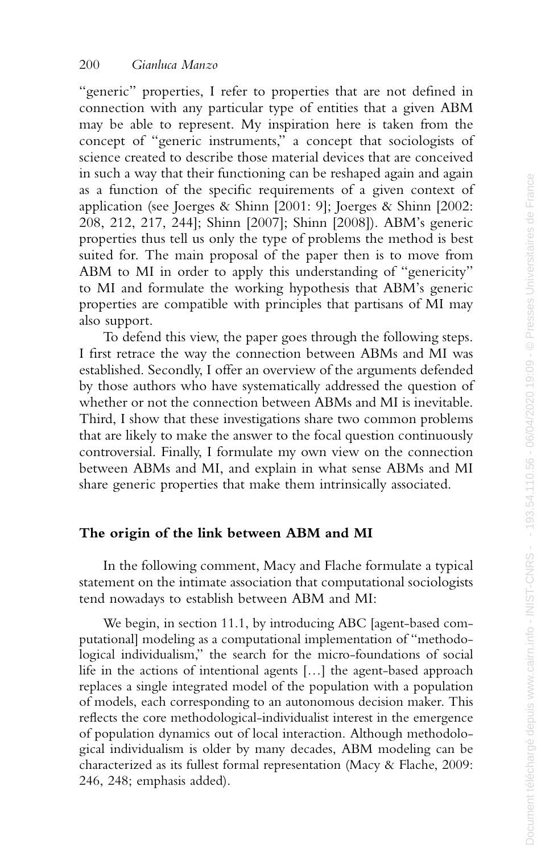"generic" properties, I refer to properties that are not defined in connection with any particular type of entities that a given ABM may be able to represent. My inspiration here is taken from the concept of "generic instruments," a concept that sociologists of science created to describe those material devices that are conceived in such a way that their functioning can be reshaped again and again as a function of the specific requirements of a given context of application (see Joerges & Shinn [2001: 9]; Joerges & Shinn [2002: 208, 212, 217, 244]; Shinn [2007]; Shinn [2008]). ABM's generic properties thus tell us only the type of problems the method is best suited for. The main proposal of the paper then is to move from ABM to MI in order to apply this understanding of "genericity" to MI and formulate the working hypothesis that ABM's generic properties are compatible with principles that partisans of MI may also support.

To defend this view, the paper goes through the following steps. I first retrace the way the connection between ABMs and MI was established. Secondly, I offer an overview of the arguments defended by those authors who have systematically addressed the question of whether or not the connection between ABMs and MI is inevitable. Third, I show that these investigations share two common problems that are likely to make the answer to the focal question continuously controversial. Finally, I formulate my own view on the connection between ABMs and MI, and explain in what sense ABMs and MI share generic properties that make them intrinsically associated.

# **The origin of the link between ABM and MI**

In the following comment, Macy and Flache formulate a typical statement on the intimate association that computational sociologists tend nowadays to establish between ABM and MI:

We begin, in section 11.1, by introducing ABC [agent-based computational] modeling as a computational implementation of "methodological individualism," the search for the micro-foundations of social life in the actions of intentional agents [...] the agent-based approach replaces a single integrated model of the population with a population of models, each corresponding to an autonomous decision maker. This reflects the core methodological-individualist interest in the emergence of population dynamics out of local interaction. Although methodological individualism is older by many decades, ABM modeling can be characterized as its fullest formal representation (Macy & Flache, 2009: 246, 248; emphasis added).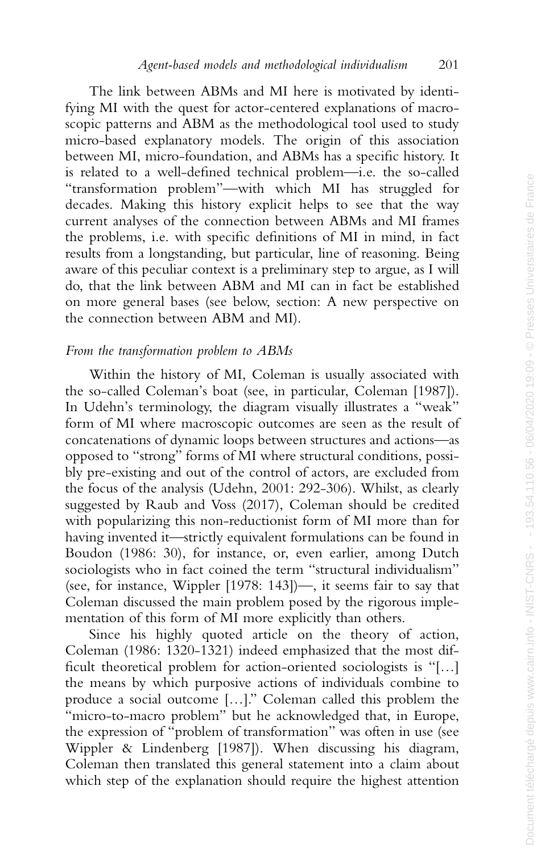The link between ABMs and MI here is motivated by identifying MI with the quest for actor-centered explanations of macroscopic patterns and ABM as the methodological tool used to study micro-based explanatory models. The origin of this association between MI, micro-foundation, and ABMs has a specific history. It is related to a well-defined technical problem—i.e. the so-called "transformation problem"—with which MI has struggled for decades. Making this history explicit helps to see that the way current analyses of the connection between ABMs and MI frames the problems, i.e. with specific definitions of MI in mind, in fact results from a longstanding, but particular, line of reasoning. Being aware of this peculiar context is a preliminary step to argue, as I will do, that the link between ABM and MI can in fact be established on more general bases (see below, section: A new perspective on the connection between ABM and MI).

#### *From the transformation problem to ABMs*

Within the history of MI, Coleman is usually associated with the so-called Coleman's boat (see, in particular, Coleman [1987]). In Udehn's terminology, the diagram visually illustrates a "weak" form of MI where macroscopic outcomes are seen as the result of concatenations of dynamic loops between structures and actions—as opposed to "strong" forms of MI where structural conditions, possibly pre-existing and out of the control of actors, are excluded from the focus of the analysis (Udehn, 2001: 292-306). Whilst, as clearly suggested by Raub and Voss (2017), Coleman should be credited with popularizing this non-reductionist form of MI more than for having invented it—strictly equivalent formulations can be found in Boudon (1986: 30), for instance, or, even earlier, among Dutch sociologists who in fact coined the term "structural individualism" (see, for instance, Wippler [1978: 143])—, it seems fair to say that Coleman discussed the main problem posed by the rigorous implementation of this form of MI more explicitly than others.

Since his highly quoted article on the theory of action, Coleman (1986: 1320-1321) indeed emphasized that the most difficult theoretical problem for action-oriented sociologists is "[…] the means by which purposive actions of individuals combine to produce a social outcome […]." Coleman called this problem the "micro-to-macro problem" but he acknowledged that, in Europe, the expression of "problem of transformation" was often in use (see Wippler & Lindenberg [1987]). When discussing his diagram, Coleman then translated this general statement into a claim about which step of the explanation should require the highest attention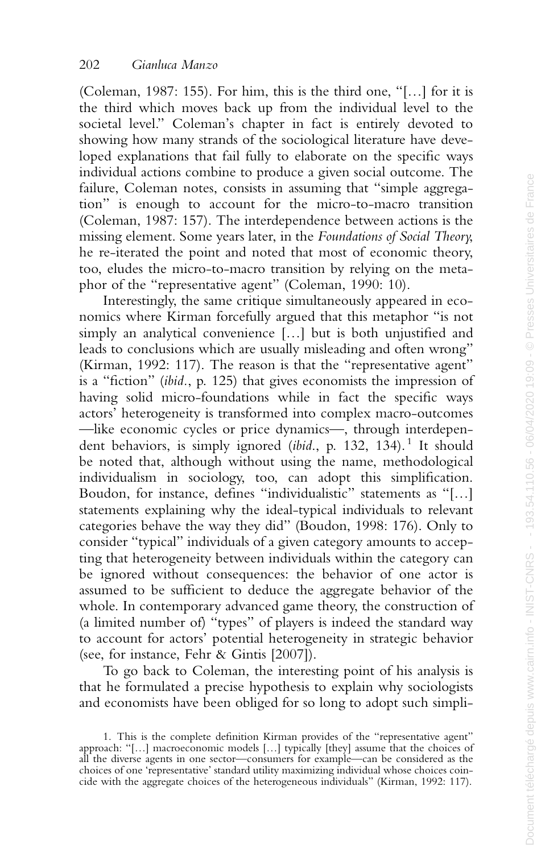(Coleman, 1987: 155). For him, this is the third one, "[…] for it is the third which moves back up from the individual level to the societal level." Coleman's chapter in fact is entirely devoted to showing how many strands of the sociological literature have developed explanations that fail fully to elaborate on the specific ways individual actions combine to produce a given social outcome. The failure, Coleman notes, consists in assuming that "simple aggregation" is enough to account for the micro-to-macro transition (Coleman, 1987: 157). The interdependence between actions is the missing element. Some years later, in the *Foundations of Social Theory*, he re-iterated the point and noted that most of economic theory, too, eludes the micro-to-macro transition by relying on the metaphor of the "representative agent" (Coleman, 1990: 10).

Interestingly, the same critique simultaneously appeared in economics where Kirman forcefully argued that this metaphor "is not simply an analytical convenience […] but is both unjustified and leads to conclusions which are usually misleading and often wrong" (Kirman, 1992: 117). The reason is that the "representative agent" is a "fiction" (*ibid.*, p. 125) that gives economists the impression of having solid micro-foundations while in fact the specific ways actors' heterogeneity is transformed into complex macro-outcomes —like economic cycles or price dynamics—, through interdependent behaviors, is simply ignored *(ibid.*, p. 132, 134).<sup>1</sup> It should be noted that, although without using the name, methodological individualism in sociology, too, can adopt this simplification. Boudon, for instance, defines "individualistic" statements as "[…] statements explaining why the ideal-typical individuals to relevant categories behave the way they did" (Boudon, 1998: 176). Only to consider "typical" individuals of a given category amounts to accepting that heterogeneity between individuals within the category can be ignored without consequences: the behavior of one actor is assumed to be sufficient to deduce the aggregate behavior of the whole. In contemporary advanced game theory, the construction of (a limited number of) "types" of players is indeed the standard way to account for actors' potential heterogeneity in strategic behavior (see, for instance, Fehr & Gintis [2007]).

To go back to Coleman, the interesting point of his analysis is that he formulated a precise hypothesis to explain why sociologists and economists have been obliged for so long to adopt such simpli-

<sup>1.</sup> This is the complete definition Kirman provides of the "representative agent" approach: "[…] macroeconomic models […] typically [they] assume that the choices of all the diverse agents in one sector—consumers for example—can be considered as the choices of one 'representative' standard utility maximizing individual whose choices coincide with the aggregate choices of the heterogeneous individuals" (Kirman, 1992: 117).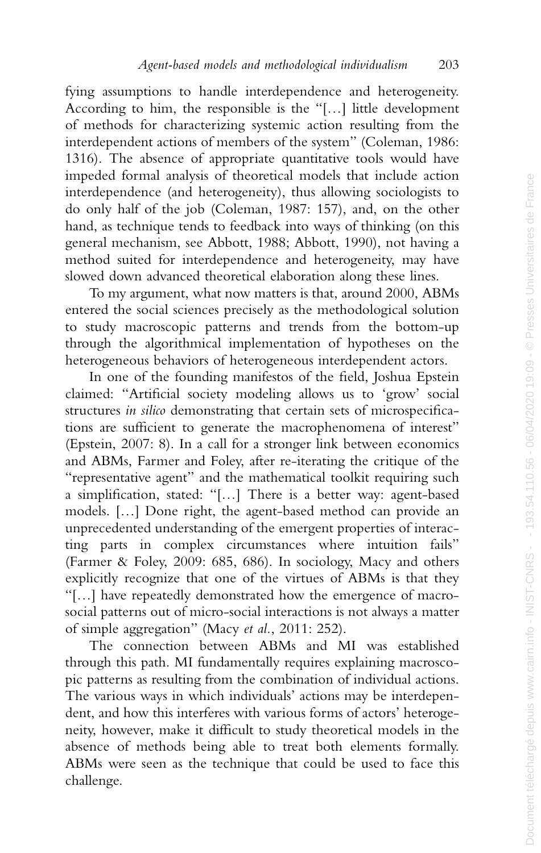fying assumptions to handle interdependence and heterogeneity. According to him, the responsible is the "[…] little development of methods for characterizing systemic action resulting from the interdependent actions of members of the system" (Coleman, 1986: 1316). The absence of appropriate quantitative tools would have impeded formal analysis of theoretical models that include action interdependence (and heterogeneity), thus allowing sociologists to do only half of the job (Coleman, 1987: 157), and, on the other hand, as technique tends to feedback into ways of thinking (on this general mechanism, see Abbott, 1988; Abbott, 1990), not having a method suited for interdependence and heterogeneity, may have slowed down advanced theoretical elaboration along these lines.

To my argument, what now matters is that, around 2000, ABMs entered the social sciences precisely as the methodological solution to study macroscopic patterns and trends from the bottom-up through the algorithmical implementation of hypotheses on the heterogeneous behaviors of heterogeneous interdependent actors.

In one of the founding manifestos of the field, Joshua Epstein claimed: "Artificial society modeling allows us to 'grow' social structures *in silico* demonstrating that certain sets of microspecifications are sufficient to generate the macrophenomena of interest" (Epstein, 2007: 8). In a call for a stronger link between economics and ABMs, Farmer and Foley, after re-iterating the critique of the "representative agent" and the mathematical toolkit requiring such a simplification, stated: "[…] There is a better way: agent-based models. […] Done right, the agent-based method can provide an unprecedented understanding of the emergent properties of interacting parts in complex circumstances where intuition fails" (Farmer & Foley, 2009: 685, 686). In sociology, Macy and others explicitly recognize that one of the virtues of ABMs is that they "[…] have repeatedly demonstrated how the emergence of macrosocial patterns out of micro-social interactions is not always a matter of simple aggregation" (Macy *et al.*, 2011: 252).

The connection between ABMs and MI was established through this path. MI fundamentally requires explaining macroscopic patterns as resulting from the combination of individual actions. The various ways in which individuals' actions may be interdependent, and how this interferes with various forms of actors' heterogeneity, however, make it difficult to study theoretical models in the absence of methods being able to treat both elements formally. ABMs were seen as the technique that could be used to face this challenge.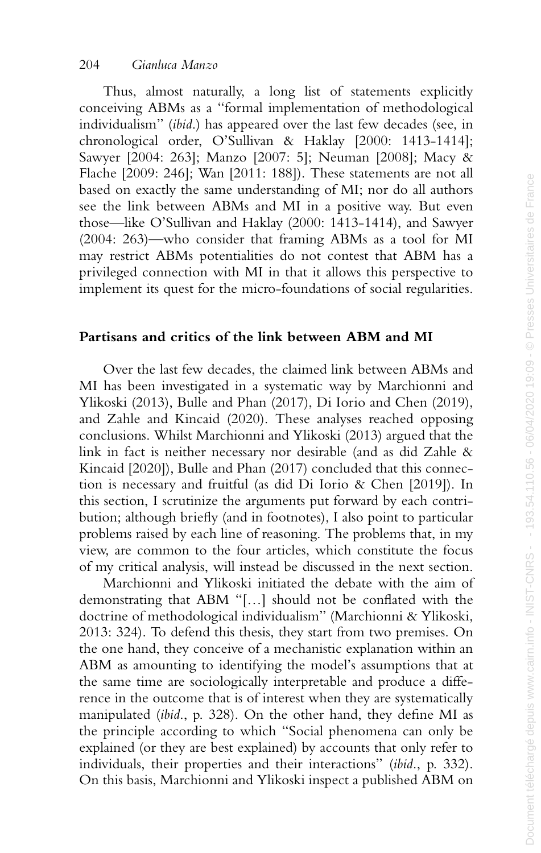Thus, almost naturally, a long list of statements explicitly conceiving ABMs as a "formal implementation of methodological individualism" (*ibid*.) has appeared over the last few decades (see, in chronological order, O'Sullivan & Haklay [2000: 1413-1414]; Sawyer [2004: 263]; Manzo [2007: 5]; Neuman [2008]; Macy & Flache [2009: 246]; Wan [2011: 188]). These statements are not all based on exactly the same understanding of MI; nor do all authors see the link between ABMs and MI in a positive way. But even those—like O'Sullivan and Haklay (2000: 1413-1414), and Sawyer (2004: 263)—who consider that framing ABMs as a tool for MI may restrict ABMs potentialities do not contest that ABM has a privileged connection with MI in that it allows this perspective to implement its quest for the micro-foundations of social regularities.

# **Partisans and critics of the link between ABM and MI**

Over the last few decades, the claimed link between ABMs and MI has been investigated in a systematic way by Marchionni and Ylikoski (2013), Bulle and Phan (2017), Di Iorio and Chen (2019), and Zahle and Kincaid (2020). These analyses reached opposing conclusions. Whilst Marchionni and Ylikoski (2013) argued that the link in fact is neither necessary nor desirable (and as did Zahle & Kincaid [2020]), Bulle and Phan (2017) concluded that this connection is necessary and fruitful (as did Di Iorio & Chen [2019]). In this section, I scrutinize the arguments put forward by each contribution; although briefly (and in footnotes), I also point to particular problems raised by each line of reasoning. The problems that, in my view, are common to the four articles, which constitute the focus of my critical analysis, will instead be discussed in the next section.

Marchionni and Ylikoski initiated the debate with the aim of demonstrating that ABM "[…] should not be conflated with the doctrine of methodological individualism" (Marchionni & Ylikoski, 2013: 324). To defend this thesis, they start from two premises. On the one hand, they conceive of a mechanistic explanation within an ABM as amounting to identifying the model's assumptions that at the same time are sociologically interpretable and produce a difference in the outcome that is of interest when they are systematically manipulated (*ibid*., p. 328). On the other hand, they define MI as the principle according to which "Social phenomena can only be explained (or they are best explained) by accounts that only refer to individuals, their properties and their interactions" (*ibid*., p. 332). On this basis, Marchionni and Ylikoski inspect a published ABM on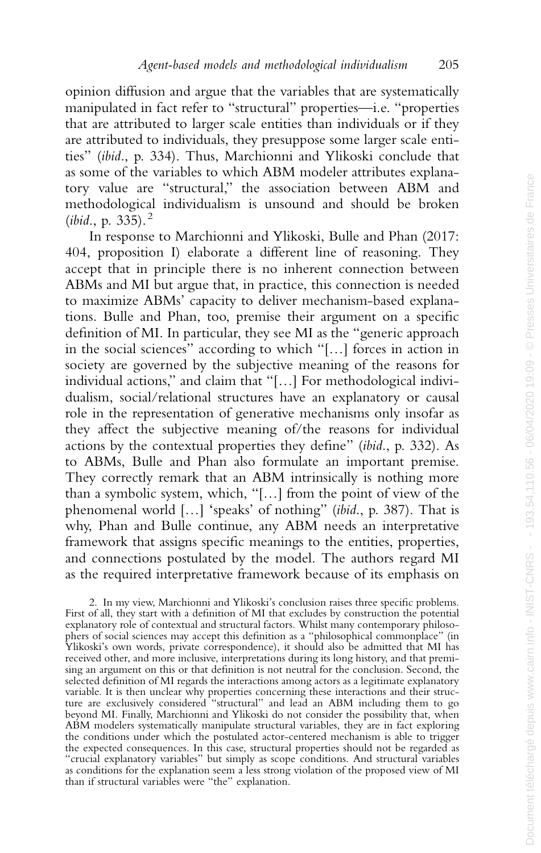opinion diffusion and argue that the variables that are systematically manipulated in fact refer to "structural" properties—i.e. "properties that are attributed to larger scale entities than individuals or if they are attributed to individuals, they presuppose some larger scale entities" (*ibid*., p. 334). Thus, Marchionni and Ylikoski conclude that as some of the variables to which ABM modeler attributes explanatory value are "structural," the association between ABM and methodological individualism is unsound and should be broken (*ibid*., p. 335). <sup>2</sup>

In response to Marchionni and Ylikoski, Bulle and Phan (2017: 404, proposition I) elaborate a different line of reasoning. They accept that in principle there is no inherent connection between ABMs and MI but argue that, in practice, this connection is needed to maximize ABMs' capacity to deliver mechanism-based explanations. Bulle and Phan, too, premise their argument on a specific definition of MI. In particular, they see MI as the "generic approach in the social sciences" according to which "[…] forces in action in society are governed by the subjective meaning of the reasons for individual actions," and claim that "[…] For methodological individualism, social/relational structures have an explanatory or causal role in the representation of generative mechanisms only insofar as they affect the subjective meaning of/the reasons for individual actions by the contextual properties they define" (*ibid*., p. 332). As to ABMs, Bulle and Phan also formulate an important premise. They correctly remark that an ABM intrinsically is nothing more than a symbolic system, which, "[…] from the point of view of the phenomenal world […] ʻspeaks' of nothing" (*ibid*., p. 387). That is why, Phan and Bulle continue, any ABM needs an interpretative framework that assigns specific meanings to the entities, properties, and connections postulated by the model. The authors regard MI as the required interpretative framework because of its emphasis on

2. In my view, Marchionni and Ylikoski's conclusion raises three specific problems. First of all, they start with a definition of MI that excludes by construction the potential explanatory role of contextual and structural factors. Whilst many contemporary philosophers of social sciences may accept this definition as a "philosophical commonplace" (in Ylikoski's own words, private correspondence), it should also be admitted that MI has received other, and more inclusive, interpretations during its long history, and that premising an argument on this or that definition is not neutral for the conclusion. Second, the selected definition of MI regards the interactions among actors as a legitimate explanatory variable. It is then unclear why properties concerning these interactions and their structure are exclusively considered "structural" and lead an ABM including them to go beyond MI. Finally, Marchionni and Ylikoski do not consider the possibility that, when ABM modelers systematically manipulate structural variables, they are in fact exploring the conditions under which the postulated actor-centered mechanism is able to trigger the expected consequences. In this case, structural properties should not be regarded as "crucial explanatory variables" but simply as scope conditions. And structural variables as conditions for the explanation seem a less strong violation of the proposed view of MI than if structural variables were "the" explanation.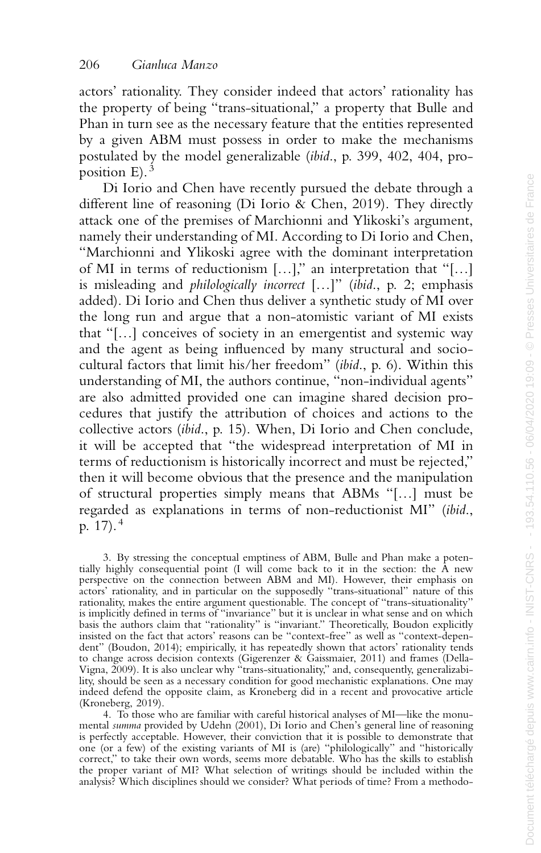actors' rationality. They consider indeed that actors' rationality has the property of being "trans-situational," a property that Bulle and Phan in turn see as the necessary feature that the entities represented by a given ABM must possess in order to make the mechanisms postulated by the model generalizable (*ibid*., p. 399, 402, 404, proposition  $E$ ).<sup>3</sup>

Di Iorio and Chen have recently pursued the debate through a different line of reasoning (Di Iorio & Chen, 2019). They directly attack one of the premises of Marchionni and Ylikoski's argument, namely their understanding of MI. According to Di Iorio and Chen, "Marchionni and Ylikoski agree with the dominant interpretation of MI in terms of reductionism […]," an interpretation that "[…] is misleading and *philologically incorrect* […]" (*ibid*., p. 2; emphasis added). Di Iorio and Chen thus deliver a synthetic study of MI over the long run and argue that a non-atomistic variant of MI exists that "[…] conceives of society in an emergentist and systemic way and the agent as being influenced by many structural and sociocultural factors that limit his/her freedom" (*ibid*., p. 6). Within this understanding of MI, the authors continue, "non-individual agents" are also admitted provided one can imagine shared decision procedures that justify the attribution of choices and actions to the collective actors (*ibid*., p. 15). When, Di Iorio and Chen conclude, it will be accepted that "the widespread interpretation of MI in terms of reductionism is historically incorrect and must be rejected," then it will become obvious that the presence and the manipulation of structural properties simply means that ABMs "[…] must be regarded as explanations in terms of non-reductionist MI" (*ibid*., p. 17). 4

3. By stressing the conceptual emptiness of ABM, Bulle and Phan make a potentially highly consequential point (I will come back to it in the section: the A new perspective on the connection between ABM and MI). However, their emphasis on actors' rationality, and in particular on the supposedly "trans-situational" nature of this rationality, makes the entire argument questionable. The concept of "trans-situationality" is implicitly defined in terms of "invariance" but it is unclear in what sense and on which basis the authors claim that "rationality" is "invariant." Theoretically, Boudon explicitly insisted on the fact that actors' reasons can be "context-free" as well as "context-depen-dent" (Boudon, 2014); empirically, it has repeatedly shown that actors' rationality tends to change across decision contexts (Gigerenzer & Gaissmaier, 2011) and frames (Della-Vigna, 2009). It is also unclear why "trans-situationality," and, consequently, generalizability, should be seen as a necessary condition for good mechanistic explanations. One may indeed defend the opposite claim, as Kroneberg did in a recent and provocative article (Kroneberg, 2019).

4. To those who are familiar with careful historical analyses of MI—like the monumental *summa* provided by Udehn (2001), Di Iorio and Chen's general line of reasoning is perfectly acceptable. However, their conviction that it is possible to demonstrate that one (or a few) of the existing variants of MI is (are) "philologically" and "historically correct," to take their own words, seems more debatable. Who has the skills to establish the proper variant of MI? What selection of writings should be included within the analysis? Which disciplines should we consider? What periods of time? From a methodo-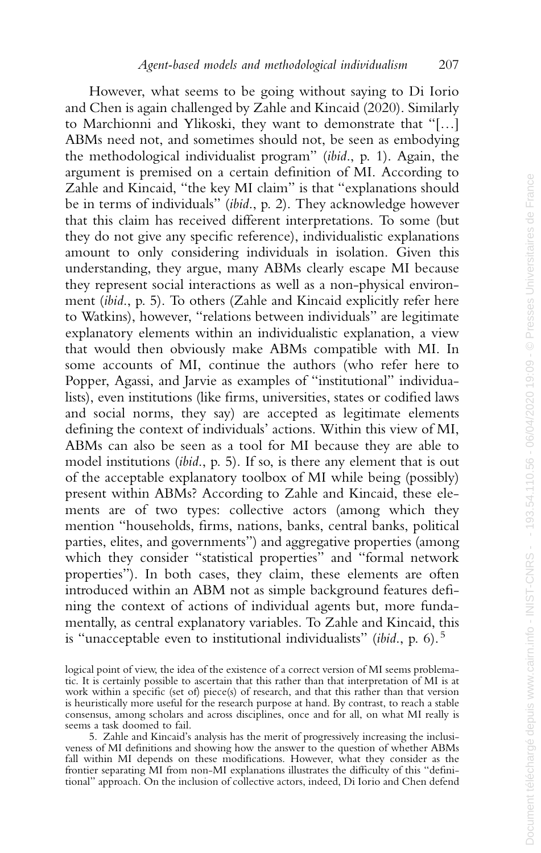However, what seems to be going without saying to Di Iorio and Chen is again challenged by Zahle and Kincaid (2020). Similarly to Marchionni and Ylikoski, they want to demonstrate that "[…] ABMs need not, and sometimes should not, be seen as embodying the methodological individualist program" (*ibid*., p. 1). Again, the argument is premised on a certain definition of MI. According to Zahle and Kincaid, "the key MI claim" is that "explanations should be in terms of individuals" (*ibid*., p. 2). They acknowledge however that this claim has received different interpretations. To some (but they do not give any specific reference), individualistic explanations amount to only considering individuals in isolation. Given this understanding, they argue, many ABMs clearly escape MI because they represent social interactions as well as a non-physical environment (*ibid*., p. 5). To others (Zahle and Kincaid explicitly refer here to Watkins), however, "relations between individuals" are legitimate explanatory elements within an individualistic explanation, a view that would then obviously make ABMs compatible with MI. In some accounts of MI, continue the authors (who refer here to Popper, Agassi, and Jarvie as examples of "institutional" individualists), even institutions (like firms, universities, states or codified laws and social norms, they say) are accepted as legitimate elements defining the context of individuals' actions. Within this view of MI, ABMs can also be seen as a tool for MI because they are able to model institutions (*ibid*., p. 5). If so, is there any element that is out of the acceptable explanatory toolbox of MI while being (possibly) present within ABMs? According to Zahle and Kincaid, these elements are of two types: collective actors (among which they mention "households, firms, nations, banks, central banks, political parties, elites, and governments") and aggregative properties (among which they consider "statistical properties" and "formal network" properties"). In both cases, they claim, these elements are often introduced within an ABM not as simple background features defining the context of actions of individual agents but, more fundamentally, as central explanatory variables. To Zahle and Kincaid, this is "unacceptable even to institutional individualists" (*ibid*., p. 6). 5

logical point of view, the idea of the existence of a correct version of MI seems problematic. It is certainly possible to ascertain that this rather than that interpretation of MI is at work within a specific (set of) piece(s) of research, and that this rather than that version is heuristically more useful for the research purpose at hand. By contrast, to reach a stable consensus, among scholars and across disciplines, once and for all, on what MI really is seems a task doomed to fail.

<sup>5.</sup> Zahle and Kincaid's analysis has the merit of progressively increasing the inclusiveness of MI definitions and showing how the answer to the question of whether ABMs fall within MI depends on these modifications. However, what they consider as the frontier separating MI from non-MI explanations illustrates the difficulty of this "definitional" approach. On the inclusion of collective actors, indeed, Di Iorio and Chen defend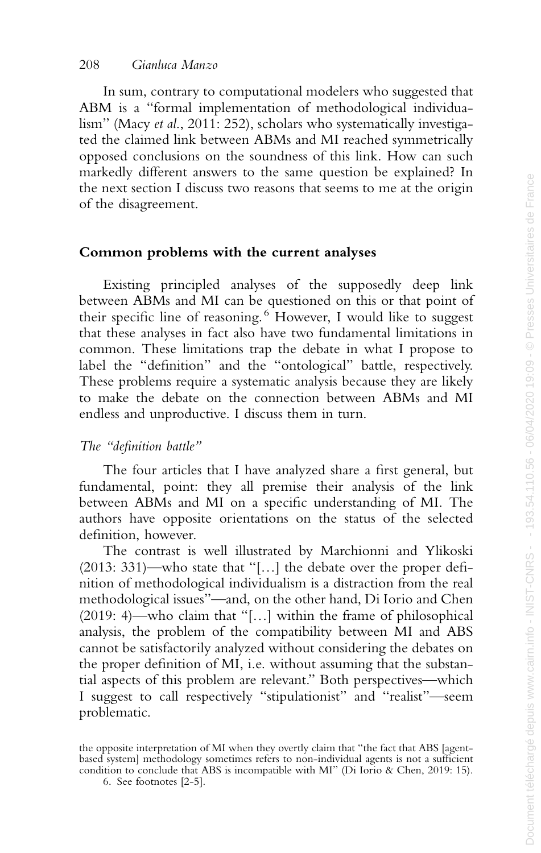In sum, contrary to computational modelers who suggested that ABM is a "formal implementation of methodological individualism" (Macy *et al*., 2011: 252), scholars who systematically investigated the claimed link between ABMs and MI reached symmetrically opposed conclusions on the soundness of this link. How can such markedly different answers to the same question be explained? In the next section I discuss two reasons that seems to me at the origin of the disagreement.

#### **Common problems with the current analyses**

Existing principled analyses of the supposedly deep link between ABMs and MI can be questioned on this or that point of their specific line of reasoning.<sup>6</sup> However, I would like to suggest that these analyses in fact also have two fundamental limitations in common. These limitations trap the debate in what I propose to label the "definition" and the "ontological" battle, respectively. These problems require a systematic analysis because they are likely to make the debate on the connection between ABMs and MI endless and unproductive. I discuss them in turn.

## *The "definition battle"*

The four articles that I have analyzed share a first general, but fundamental, point: they all premise their analysis of the link between ABMs and MI on a specific understanding of MI. The authors have opposite orientations on the status of the selected definition, however.

The contrast is well illustrated by Marchionni and Ylikoski (2013: 331)—who state that "[…] the debate over the proper definition of methodological individualism is a distraction from the real methodological issues"—and, on the other hand, Di Iorio and Chen (2019: 4)—who claim that "[…] within the frame of philosophical analysis, the problem of the compatibility between MI and ABS cannot be satisfactorily analyzed without considering the debates on the proper definition of MI, i.e. without assuming that the substantial aspects of this problem are relevant." Both perspectives—which I suggest to call respectively "stipulationist" and "realist"—seem problematic.

the opposite interpretation of MI when they overtly claim that "the fact that ABS [agentbased system] methodology sometimes refers to non-individual agents is not a sufficient condition to conclude that ABS is incompatible with MI" (Di Iorio & Chen, 2019: 15).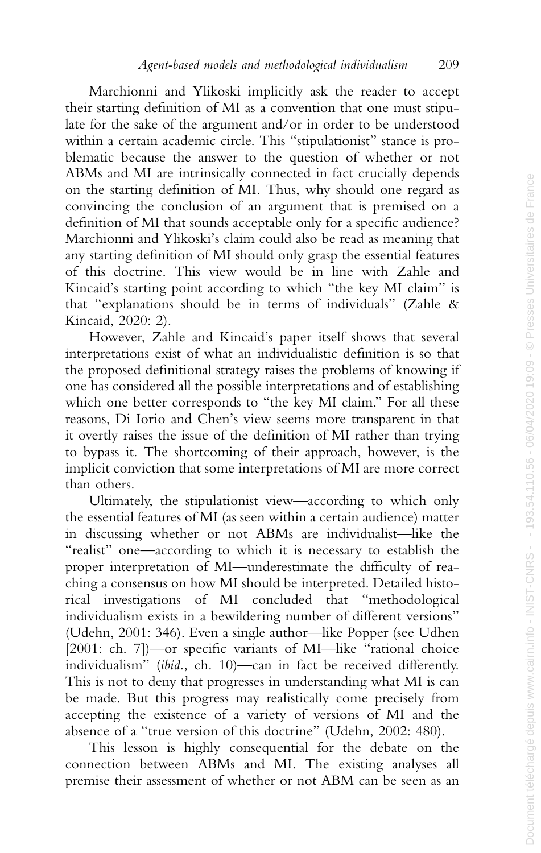Marchionni and Ylikoski implicitly ask the reader to accept their starting definition of MI as a convention that one must stipulate for the sake of the argument and/or in order to be understood within a certain academic circle. This "stipulationist" stance is problematic because the answer to the question of whether or not ABMs and MI are intrinsically connected in fact crucially depends on the starting definition of MI. Thus, why should one regard as convincing the conclusion of an argument that is premised on a definition of MI that sounds acceptable only for a specific audience? Marchionni and Ylikoski's claim could also be read as meaning that any starting definition of MI should only grasp the essential features of this doctrine. This view would be in line with Zahle and Kincaid's starting point according to which "the key MI claim" is that "explanations should be in terms of individuals" (Zahle & Kincaid, 2020: 2).

However, Zahle and Kincaid's paper itself shows that several interpretations exist of what an individualistic definition is so that the proposed definitional strategy raises the problems of knowing if one has considered all the possible interpretations and of establishing which one better corresponds to "the key MI claim." For all these reasons, Di Iorio and Chen's view seems more transparent in that it overtly raises the issue of the definition of MI rather than trying to bypass it. The shortcoming of their approach, however, is the implicit conviction that some interpretations of MI are more correct than others.

Ultimately, the stipulationist view—according to which only the essential features of MI (as seen within a certain audience) matter in discussing whether or not ABMs are individualist—like the "realist" one—according to which it is necessary to establish the proper interpretation of MI—underestimate the difficulty of reaching a consensus on how MI should be interpreted. Detailed historical investigations of MI concluded that "methodological individualism exists in a bewildering number of different versions" (Udehn, 2001: 346). Even a single author—like Popper (see Udhen [2001: ch. 7])—or specific variants of MI—like "rational choice individualism" (*ibid*., ch. 10)—can in fact be received differently. This is not to deny that progresses in understanding what MI is can be made. But this progress may realistically come precisely from accepting the existence of a variety of versions of MI and the absence of a "true version of this doctrine" (Udehn, 2002: 480).

This lesson is highly consequential for the debate on the connection between ABMs and MI. The existing analyses all premise their assessment of whether or not ABM can be seen as an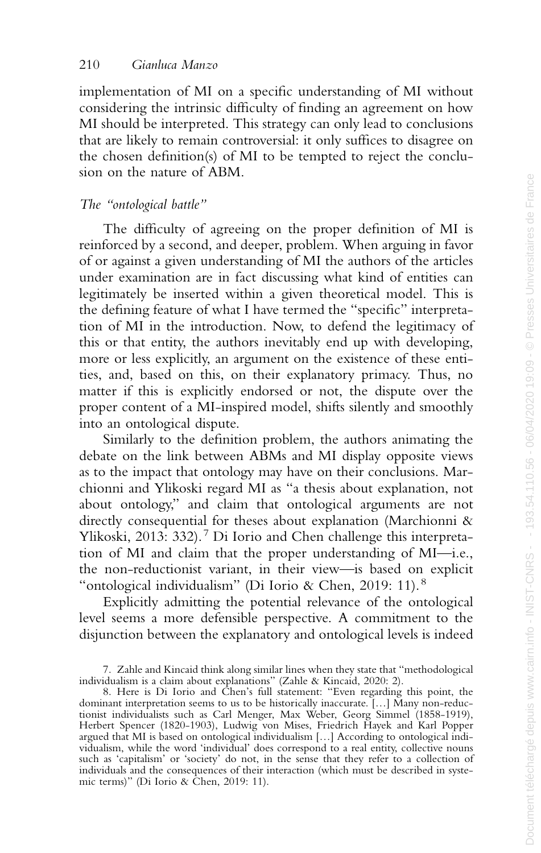implementation of MI on a specific understanding of MI without considering the intrinsic difficulty of finding an agreement on how MI should be interpreted. This strategy can only lead to conclusions that are likely to remain controversial: it only suffices to disagree on the chosen definition(s) of MI to be tempted to reject the conclusion on the nature of ABM.

#### *The "ontological battle"*

The difficulty of agreeing on the proper definition of MI is reinforced by a second, and deeper, problem. When arguing in favor of or against a given understanding of MI the authors of the articles under examination are in fact discussing what kind of entities can legitimately be inserted within a given theoretical model. This is the defining feature of what I have termed the "specific" interpretation of MI in the introduction. Now, to defend the legitimacy of this or that entity, the authors inevitably end up with developing, more or less explicitly, an argument on the existence of these entities, and, based on this, on their explanatory primacy. Thus, no matter if this is explicitly endorsed or not, the dispute over the proper content of a MI-inspired model, shifts silently and smoothly into an ontological dispute.

Similarly to the definition problem, the authors animating the debate on the link between ABMs and MI display opposite views as to the impact that ontology may have on their conclusions. Marchionni and Ylikoski regard MI as "a thesis about explanation, not about ontology," and claim that ontological arguments are not directly consequential for theses about explanation (Marchionni & Ylikoski, 2013: 332). <sup>7</sup> Di Iorio and Chen challenge this interpretation of MI and claim that the proper understanding of MI—i.e., the non-reductionist variant, in their view—is based on explicit "ontological individualism" (Di Iorio & Chen, 2019: 11).<sup>8</sup>

Explicitly admitting the potential relevance of the ontological level seems a more defensible perspective. A commitment to the disjunction between the explanatory and ontological levels is indeed

<sup>7.</sup> Zahle and Kincaid think along similar lines when they state that "methodological

individualism is a claim about explanations" (Zahle & Kincaid, 2020: 2). 8. Here is Di Iorio and Chen's full statement: "Even regarding this point, the dominant interpretation seems to us to be historically inaccurate. […] Many non-reduc-tionist individualists such as Carl Menger, Max Weber, Georg Simmel (1858-1919), Herbert Spencer (1820-1903), Ludwig von Mises, Friedrich Hayek and Karl Popper argued that MI is based on ontological individualism […] According to ontological individualism, while the word 'individual' does correspond to a real entity, collective nouns such as 'capitalism' or 'society' do not, in the sense that they refer to a collection of individuals and the consequences of their interaction (which must be described in systemic terms)" (Di Iorio & Chen, 2019: 11).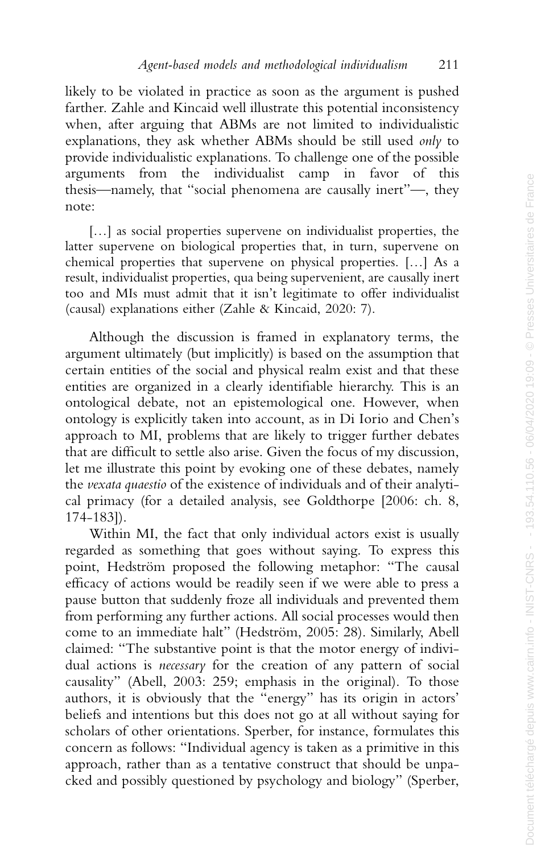likely to be violated in practice as soon as the argument is pushed farther. Zahle and Kincaid well illustrate this potential inconsistency when, after arguing that ABMs are not limited to individualistic explanations, they ask whether ABMs should be still used *only* to provide individualistic explanations. To challenge one of the possible arguments from the individualist camp in favor of this thesis—namely, that "social phenomena are causally inert"—, they note:

[...] as social properties supervene on individualist properties, the latter supervene on biological properties that, in turn, supervene on chemical properties that supervene on physical properties. […] As a result, individualist properties, qua being supervenient, are causally inert too and MIs must admit that it isn't legitimate to offer individualist (causal) explanations either (Zahle & Kincaid, 2020: 7).

Although the discussion is framed in explanatory terms, the argument ultimately (but implicitly) is based on the assumption that certain entities of the social and physical realm exist and that these entities are organized in a clearly identifiable hierarchy. This is an ontological debate, not an epistemological one. However, when ontology is explicitly taken into account, as in Di Iorio and Chen's approach to MI, problems that are likely to trigger further debates that are difficult to settle also arise. Given the focus of my discussion, let me illustrate this point by evoking one of these debates, namely the *vexata quaestio* of the existence of individuals and of their analytical primacy (for a detailed analysis, see Goldthorpe [2006: ch. 8, 174-183]).

Within MI, the fact that only individual actors exist is usually regarded as something that goes without saying. To express this point, Hedström proposed the following metaphor: "The causal efficacy of actions would be readily seen if we were able to press a pause button that suddenly froze all individuals and prevented them from performing any further actions. All social processes would then come to an immediate halt" (Hedström, 2005: 28). Similarly, Abell claimed: "The substantive point is that the motor energy of individual actions is *necessary* for the creation of any pattern of social causality" (Abell, 2003: 259; emphasis in the original). To those authors, it is obviously that the "energy" has its origin in actors' beliefs and intentions but this does not go at all without saying for scholars of other orientations. Sperber, for instance, formulates this concern as follows: "Individual agency is taken as a primitive in this approach, rather than as a tentative construct that should be unpacked and possibly questioned by psychology and biology" (Sperber,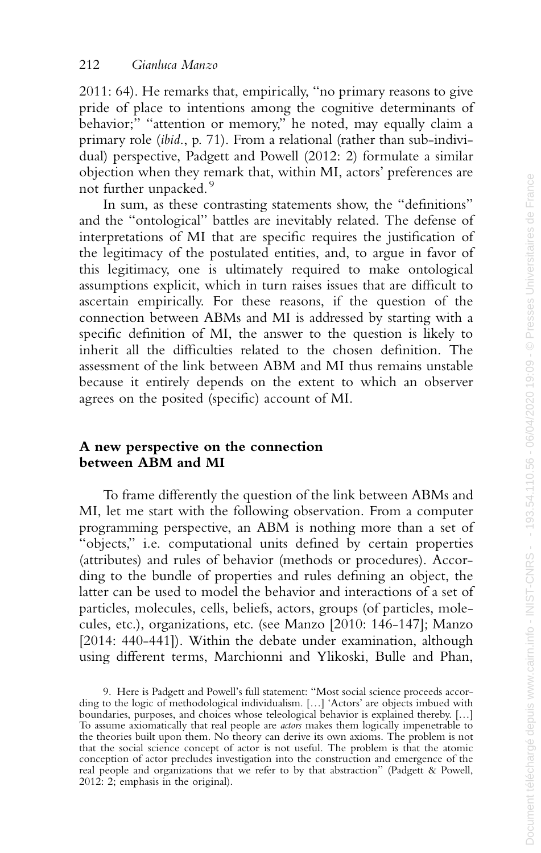2011: 64). He remarks that, empirically, "no primary reasons to give pride of place to intentions among the cognitive determinants of behavior;" "attention or memory," he noted, may equally claim a primary role (*ibid*., p. 71). From a relational (rather than sub-individual) perspective, Padgett and Powell (2012: 2) formulate a similar objection when they remark that, within MI, actors' preferences are not further unpacked. 9

In sum, as these contrasting statements show, the "definitions" and the "ontological" battles are inevitably related. The defense of interpretations of MI that are specific requires the justification of the legitimacy of the postulated entities, and, to argue in favor of this legitimacy, one is ultimately required to make ontological assumptions explicit, which in turn raises issues that are difficult to ascertain empirically. For these reasons, if the question of the connection between ABMs and MI is addressed by starting with a specific definition of MI, the answer to the question is likely to inherit all the difficulties related to the chosen definition. The assessment of the link between ABM and MI thus remains unstable because it entirely depends on the extent to which an observer agrees on the posited (specific) account of MI.

#### **A new perspective on the connection between ABM and MI**

To frame differently the question of the link between ABMs and MI, let me start with the following observation. From a computer programming perspective, an ABM is nothing more than a set of "objects," i.e. computational units defined by certain properties (attributes) and rules of behavior (methods or procedures). According to the bundle of properties and rules defining an object, the latter can be used to model the behavior and interactions of a set of particles, molecules, cells, beliefs, actors, groups (of particles, molecules, etc.), organizations, etc. (see Manzo [2010: 146-147]; Manzo [2014: 440-441]). Within the debate under examination, although using different terms, Marchionni and Ylikoski, Bulle and Phan,

<sup>9.</sup> Here is Padgett and Powell's full statement: "Most social science proceeds according to the logic of methodological individualism. […] 'Actors' are objects imbued with boundaries, purposes, and choices whose teleological behavior is explained thereby. [...] To assume axiomatically that real people are *actors* makes them logically impenetrable to the theories built upon them. No theory can derive its own axioms. The problem is not that the social science concept of actor is not useful. The problem is that the atomic conception of actor precludes investigation into the construction and emergence of the real people and organizations that we refer to by that abstraction" (Padgett & Powell, 2012: 2; emphasis in the original).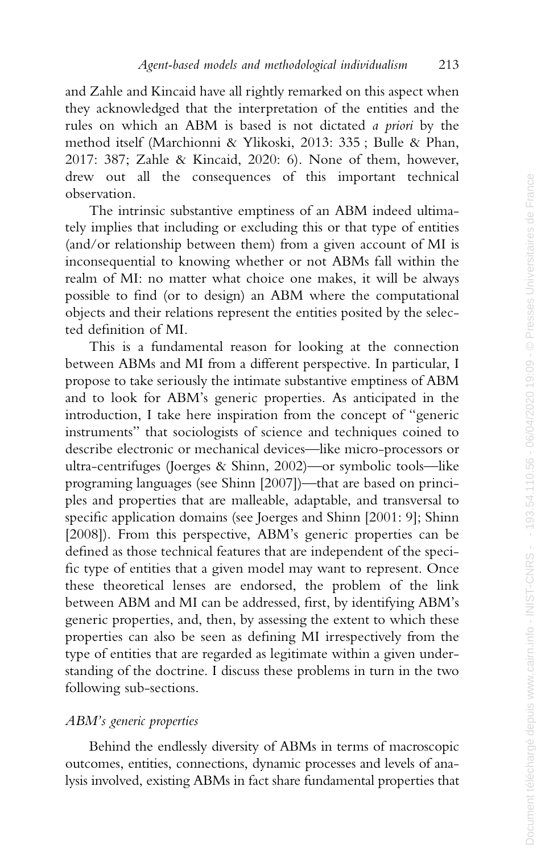and Zahle and Kincaid have all rightly remarked on this aspect when they acknowledged that the interpretation of the entities and the rules on which an ABM is based is not dictated *a priori* by the method itself (Marchionni & Ylikoski, 2013: 335 ; Bulle & Phan, 2017: 387; Zahle & Kincaid, 2020: 6). None of them, however, drew out all the consequences of this important technical observation.

The intrinsic substantive emptiness of an ABM indeed ultimately implies that including or excluding this or that type of entities (and/or relationship between them) from a given account of MI is inconsequential to knowing whether or not ABMs fall within the realm of MI: no matter what choice one makes, it will be always possible to find (or to design) an ABM where the computational objects and their relations represent the entities posited by the selected definition of MI.

This is a fundamental reason for looking at the connection between ABMs and MI from a different perspective. In particular, I propose to take seriously the intimate substantive emptiness of ABM and to look for ABM's generic properties. As anticipated in the introduction, I take here inspiration from the concept of "generic instruments" that sociologists of science and techniques coined to describe electronic or mechanical devices—like micro-processors or ultra-centrifuges (Joerges & Shinn, 2002)—or symbolic tools—like programing languages (see Shinn [2007])—that are based on principles and properties that are malleable, adaptable, and transversal to specific application domains (see Joerges and Shinn [2001: 9]; Shinn [2008]). From this perspective, ABM's generic properties can be defined as those technical features that are independent of the specific type of entities that a given model may want to represent. Once these theoretical lenses are endorsed, the problem of the link between ABM and MI can be addressed, first, by identifying ABM's generic properties, and, then, by assessing the extent to which these properties can also be seen as defining MI irrespectively from the type of entities that are regarded as legitimate within a given understanding of the doctrine. I discuss these problems in turn in the two following sub-sections.

# *ABM's generic properties*

Behind the endlessly diversity of ABMs in terms of macroscopic outcomes, entities, connections, dynamic processes and levels of analysis involved, existing ABMs in fact share fundamental properties that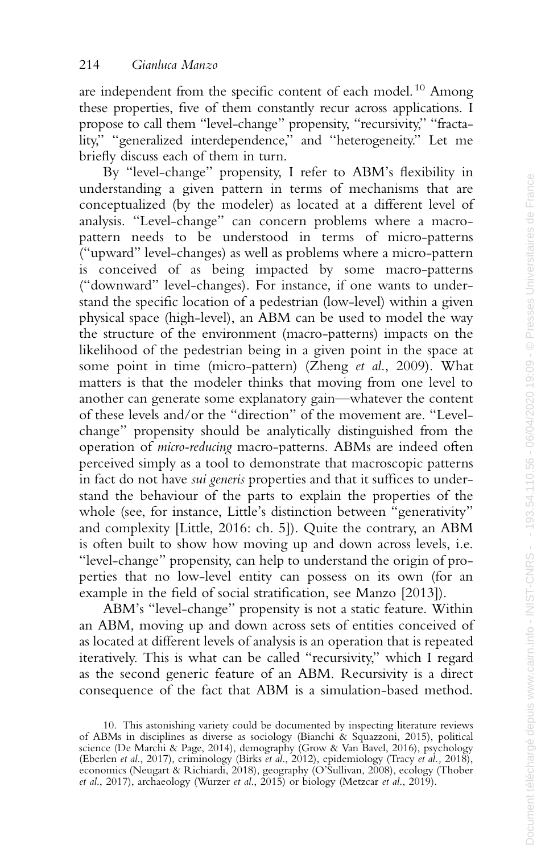are independent from the specific content of each model.<sup>10</sup> Among these properties, five of them constantly recur across applications. I propose to call them "level-change" propensity, "recursivity," "fractality," "generalized interdependence," and "heterogeneity." Let me briefly discuss each of them in turn.

By "level-change" propensity, I refer to ABM's flexibility in understanding a given pattern in terms of mechanisms that are conceptualized (by the modeler) as located at a different level of analysis. "Level-change" can concern problems where a macropattern needs to be understood in terms of micro-patterns ("upward" level-changes) as well as problems where a micro-pattern is conceived of as being impacted by some macro-patterns ("downward" level-changes). For instance, if one wants to understand the specific location of a pedestrian (low-level) within a given physical space (high-level), an ABM can be used to model the way the structure of the environment (macro-patterns) impacts on the likelihood of the pedestrian being in a given point in the space at some point in time (micro-pattern) (Zheng *et al*., 2009). What matters is that the modeler thinks that moving from one level to another can generate some explanatory gain—whatever the content of these levels and/or the "direction" of the movement are. "Levelchange" propensity should be analytically distinguished from the operation of *micro-reducing* macro-patterns. ABMs are indeed often perceived simply as a tool to demonstrate that macroscopic patterns in fact do not have *sui generis* properties and that it suffices to understand the behaviour of the parts to explain the properties of the whole (see, for instance, Little's distinction between "generativity" and complexity [Little, 2016: ch. 5]). Quite the contrary, an ABM is often built to show how moving up and down across levels, i.e. "level-change" propensity, can help to understand the origin of properties that no low-level entity can possess on its own (for an example in the field of social stratification, see Manzo [2013]).

ABM's "level-change" propensity is not a static feature. Within an ABM, moving up and down across sets of entities conceived of as located at different levels of analysis is an operation that is repeated iteratively. This is what can be called "recursivity," which I regard as the second generic feature of an ABM. Recursivity is a direct consequence of the fact that ABM is a simulation-based method.

<sup>10.</sup> This astonishing variety could be documented by inspecting literature reviews of ABMs in disciplines as diverse as sociology (Bianchi & Squazzoni, 2015), political science (De Marchi & Page, 2014), demography (Grow & Van Bavel, 2016), psychology (Eberlen *et al*., 2017), criminology (Birks *et al*., 2012), epidemiology (Tracy *et al.,* 2018), economics (Neugart & Richiardi, 2018), geography (O'Sullivan, 2008), ecology (Thober *et al*., 2017), archaeology (Wurzer *et al*., 2015) or biology (Metzcar *et al*., 2019).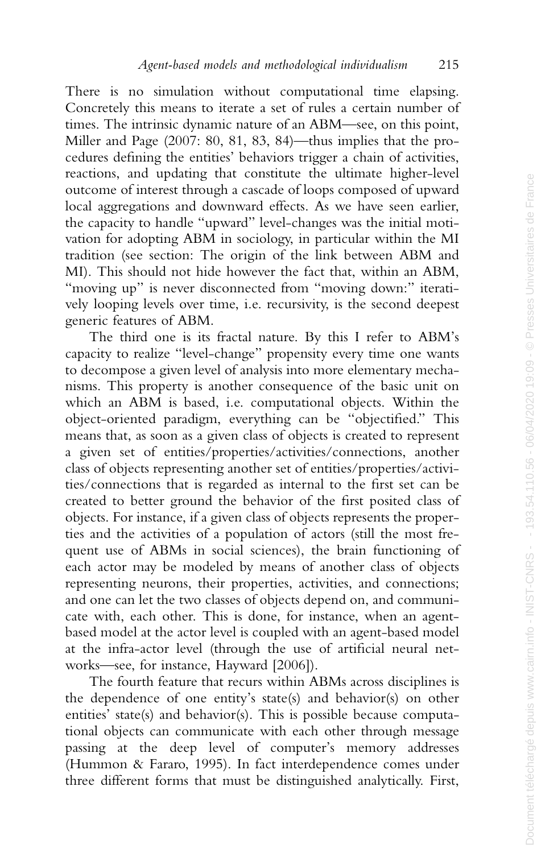There is no simulation without computational time elapsing. Concretely this means to iterate a set of rules a certain number of times. The intrinsic dynamic nature of an ABM—see, on this point, Miller and Page (2007: 80, 81, 83, 84)—thus implies that the procedures defining the entities' behaviors trigger a chain of activities, reactions, and updating that constitute the ultimate higher-level outcome of interest through a cascade of loops composed of upward local aggregations and downward effects. As we have seen earlier, the capacity to handle "upward" level-changes was the initial motivation for adopting ABM in sociology, in particular within the MI tradition (see section: The origin of the link between ABM and MI). This should not hide however the fact that, within an ABM, "moving up" is never disconnected from "moving down:" iteratively looping levels over time, i.e. recursivity, is the second deepest generic features of ABM.

The third one is its fractal nature. By this I refer to ABM's capacity to realize "level-change" propensity every time one wants to decompose a given level of analysis into more elementary mechanisms. This property is another consequence of the basic unit on which an ABM is based, i.e. computational objects. Within the object-oriented paradigm, everything can be "objectified." This means that, as soon as a given class of objects is created to represent a given set of entities/properties/activities/connections, another class of objects representing another set of entities/properties/activities/connections that is regarded as internal to the first set can be created to better ground the behavior of the first posited class of objects. For instance, if a given class of objects represents the properties and the activities of a population of actors (still the most frequent use of ABMs in social sciences), the brain functioning of each actor may be modeled by means of another class of objects representing neurons, their properties, activities, and connections; and one can let the two classes of objects depend on, and communicate with, each other. This is done, for instance, when an agentbased model at the actor level is coupled with an agent-based model at the infra-actor level (through the use of artificial neural networks—see, for instance, Hayward [2006]).

The fourth feature that recurs within ABMs across disciplines is the dependence of one entity's state(s) and behavior(s) on other entities' state(s) and behavior(s). This is possible because computational objects can communicate with each other through message passing at the deep level of computer's memory addresses (Hummon & Fararo, 1995). In fact interdependence comes under three different forms that must be distinguished analytically. First,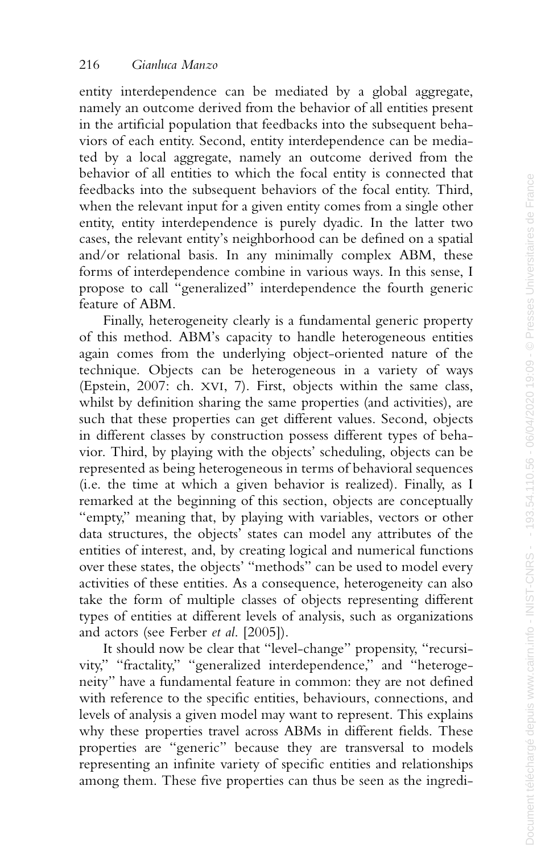entity interdependence can be mediated by a global aggregate, namely an outcome derived from the behavior of all entities present in the artificial population that feedbacks into the subsequent behaviors of each entity. Second, entity interdependence can be mediated by a local aggregate, namely an outcome derived from the behavior of all entities to which the focal entity is connected that feedbacks into the subsequent behaviors of the focal entity. Third, when the relevant input for a given entity comes from a single other entity, entity interdependence is purely dyadic. In the latter two cases, the relevant entity's neighborhood can be defined on a spatial and/or relational basis. In any minimally complex ABM, these forms of interdependence combine in various ways. In this sense, I propose to call "generalized" interdependence the fourth generic feature of ABM.

Finally, heterogeneity clearly is a fundamental generic property of this method. ABM's capacity to handle heterogeneous entities again comes from the underlying object-oriented nature of the technique. Objects can be heterogeneous in a variety of ways (Epstein, 2007: ch. XVI, 7). First, objects within the same class, whilst by definition sharing the same properties (and activities), are such that these properties can get different values. Second, objects in different classes by construction possess different types of behavior. Third, by playing with the objects' scheduling, objects can be represented as being heterogeneous in terms of behavioral sequences (i.e. the time at which a given behavior is realized). Finally, as I remarked at the beginning of this section, objects are conceptually "empty," meaning that, by playing with variables, vectors or other data structures, the objects' states can model any attributes of the entities of interest, and, by creating logical and numerical functions over these states, the objects' "methods" can be used to model every activities of these entities. As a consequence, heterogeneity can also take the form of multiple classes of objects representing different types of entities at different levels of analysis, such as organizations and actors (see Ferber *et al*. [2005]).

It should now be clear that "level-change" propensity, "recursivity," "fractality," "generalized interdependence," and "heterogeneity" have a fundamental feature in common: they are not defined with reference to the specific entities, behaviours, connections, and levels of analysis a given model may want to represent. This explains why these properties travel across ABMs in different fields. These properties are "generic" because they are transversal to models representing an infinite variety of specific entities and relationships among them. These five properties can thus be seen as the ingredi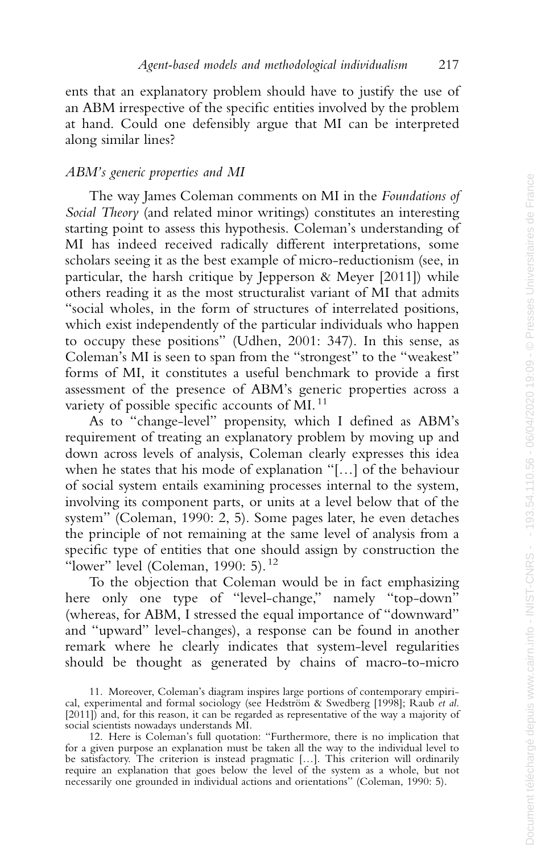ents that an explanatory problem should have to justify the use of an ABM irrespective of the specific entities involved by the problem at hand. Could one defensibly argue that MI can be interpreted along similar lines?

# *ABM's generic properties and MI*

The way James Coleman comments on MI in the *Foundations of Social Theory* (and related minor writings) constitutes an interesting starting point to assess this hypothesis. Coleman's understanding of MI has indeed received radically different interpretations, some scholars seeing it as the best example of micro-reductionism (see, in particular, the harsh critique by Jepperson & Meyer [2011]) while others reading it as the most structuralist variant of MI that admits "social wholes, in the form of structures of interrelated positions, which exist independently of the particular individuals who happen to occupy these positions" (Udhen, 2001: 347). In this sense, as Coleman's MI is seen to span from the "strongest" to the "weakest" forms of MI, it constitutes a useful benchmark to provide a first assessment of the presence of ABM's generic properties across a variety of possible specific accounts of MI.<sup>11</sup>

As to "change-level" propensity, which I defined as ABM's requirement of treating an explanatory problem by moving up and down across levels of analysis, Coleman clearly expresses this idea when he states that his mode of explanation "[…] of the behaviour of social system entails examining processes internal to the system, involving its component parts, or units at a level below that of the system" (Coleman, 1990: 2, 5). Some pages later, he even detaches the principle of not remaining at the same level of analysis from a specific type of entities that one should assign by construction the "lower" level (Coleman, 1990: 5).  $12$ 

To the objection that Coleman would be in fact emphasizing here only one type of "level-change," namely "top-down" (whereas, for ABM, I stressed the equal importance of "downward" and "upward" level-changes), a response can be found in another remark where he clearly indicates that system-level regularities should be thought as generated by chains of macro-to-micro

<sup>11.</sup> Moreover, Coleman's diagram inspires large portions of contemporary empirical, experimental and formal sociology (see Hedström & Swedberg [1998]; Raub *et al.* [2011]) and, for this reason, it can be regarded as representative of the way a majority of social scientists nowadays understands MI.

<sup>12.</sup> Here is Coleman's full quotation: "Furthermore, there is no implication that for a given purpose an explanation must be taken all the way to the individual level to be satisfactory. The criterion is instead pragmatic […]. This criterion will ordinarily require an explanation that goes below the level of the system as a whole, but not necessarily one grounded in individual actions and orientations" (Coleman, 1990: 5).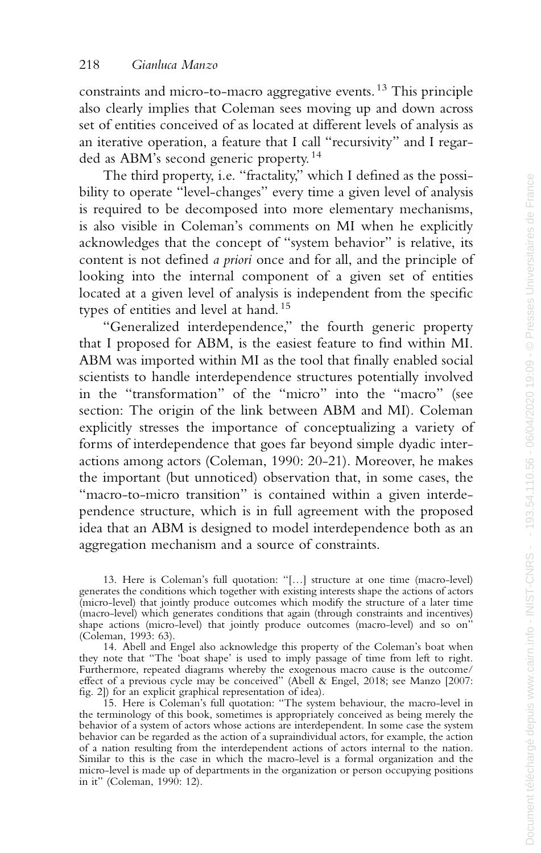constraints and micro-to-macro aggregative events. <sup>13</sup> This principle also clearly implies that Coleman sees moving up and down across set of entities conceived of as located at different levels of analysis as an iterative operation, a feature that I call "recursivity" and I regarded as ABM's second generic property. <sup>14</sup>

The third property, i.e. "fractality," which I defined as the possibility to operate "level-changes" every time a given level of analysis is required to be decomposed into more elementary mechanisms, is also visible in Coleman's comments on MI when he explicitly acknowledges that the concept of "system behavior" is relative, its content is not defined *a priori* once and for all, and the principle of looking into the internal component of a given set of entities located at a given level of analysis is independent from the specific types of entities and level at hand. <sup>15</sup>

"Generalized interdependence," the fourth generic property that I proposed for ABM, is the easiest feature to find within MI. ABM was imported within MI as the tool that finally enabled social scientists to handle interdependence structures potentially involved in the "transformation" of the "micro" into the "macro" (see section: The origin of the link between ABM and MI). Coleman explicitly stresses the importance of conceptualizing a variety of forms of interdependence that goes far beyond simple dyadic interactions among actors (Coleman, 1990: 20-21). Moreover, he makes the important (but unnoticed) observation that, in some cases, the "macro-to-micro transition" is contained within a given interdependence structure, which is in full agreement with the proposed idea that an ABM is designed to model interdependence both as an aggregation mechanism and a source of constraints.

13. Here is Coleman's full quotation: "[…] structure at one time (macro-level) generates the conditions which together with existing interests shape the actions of actors (micro-level) that jointly produce outcomes which modify the structure of a later time (macro-level) which generates conditions that again (through constraints and incentives) shape actions (micro-level) that jointly produce outcomes (macro-level) and so on (Coleman, 1993: 63).

14. Abell and Engel also acknowledge this property of the Coleman's boat when they note that "The 'boat shape' is used to imply passage of time from left to right. Furthermore, repeated diagrams whereby the exogenous macro cause is the outcome/ effect of a previous cycle may be conceived" (Abell & Engel, 2018; see Manzo [2007: fig. 2]) for an explicit graphical representation of idea).

15. Here is Coleman's full quotation: "The system behaviour, the macro-level in the terminology of this book, sometimes is appropriately conceived as being merely the behavior of a system of actors whose actions are interdependent. In some case the system behavior can be regarded as the action of a supraindividual actors, for example, the action of a nation resulting from the interdependent actions of actors internal to the nation. Similar to this is the case in which the macro-level is a formal organization and the micro-level is made up of departments in the organization or person occupying positions in it" (Coleman, 1990: 12).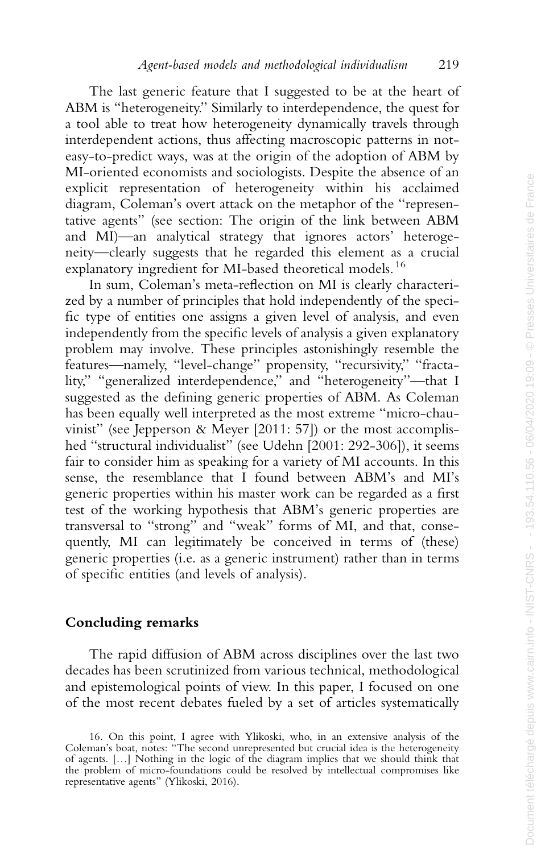The last generic feature that I suggested to be at the heart of ABM is "heterogeneity." Similarly to interdependence, the quest for a tool able to treat how heterogeneity dynamically travels through interdependent actions, thus affecting macroscopic patterns in noteasy-to-predict ways, was at the origin of the adoption of ABM by MI-oriented economists and sociologists. Despite the absence of an explicit representation of heterogeneity within his acclaimed diagram, Coleman's overt attack on the metaphor of the "representative agents" (see section: The origin of the link between ABM and MI)—an analytical strategy that ignores actors' heterogeneity—clearly suggests that he regarded this element as a crucial explanatory ingredient for MI-based theoretical models. <sup>16</sup>

In sum, Coleman's meta-reflection on MI is clearly characterized by a number of principles that hold independently of the specific type of entities one assigns a given level of analysis, and even independently from the specific levels of analysis a given explanatory problem may involve. These principles astonishingly resemble the features—namely, "level-change" propensity, "recursivity," "fractality," "generalized interdependence," and "heterogeneity"—that I suggested as the defining generic properties of ABM. As Coleman has been equally well interpreted as the most extreme "micro-chauvinist" (see Jepperson & Meyer [2011: 57]) or the most accomplished "structural individualist" (see Udehn [2001: 292-306]), it seems fair to consider him as speaking for a variety of MI accounts. In this sense, the resemblance that I found between ABM's and MI's generic properties within his master work can be regarded as a first test of the working hypothesis that ABM's generic properties are transversal to "strong" and "weak" forms of MI, and that, consequently, MI can legitimately be conceived in terms of (these) generic properties (i.e. as a generic instrument) rather than in terms of specific entities (and levels of analysis).

## **Concluding remarks**

The rapid diffusion of ABM across disciplines over the last two decades has been scrutinized from various technical, methodological and epistemological points of view. In this paper, I focused on one of the most recent debates fueled by a set of articles systematically

<sup>16.</sup> On this point, I agree with Ylikoski, who, in an extensive analysis of the Coleman's boat, notes: "The second unrepresented but crucial idea is the heterogeneity of agents. […] Nothing in the logic of the diagram implies that we should think that the problem of micro-foundations could be resolved by intellectual compromises like representative agents" (Ylikoski, 2016).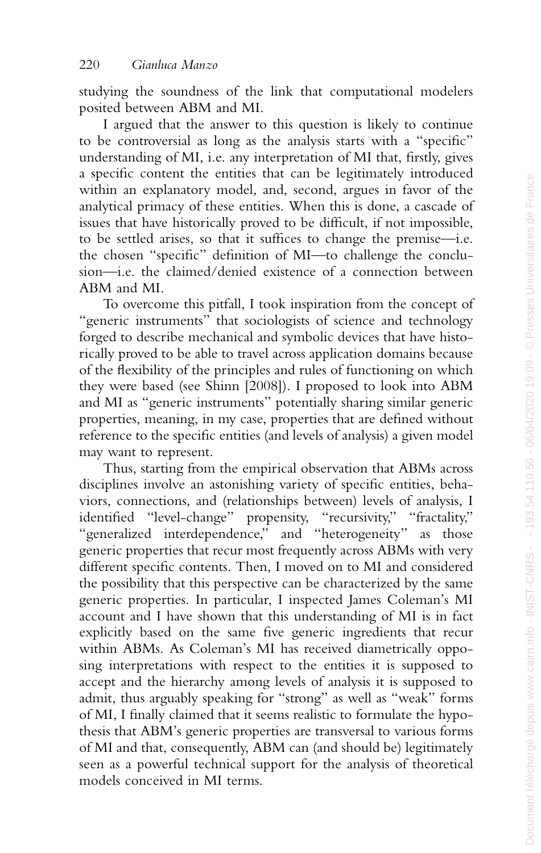studying the soundness of the link that computational modelers posited between ABM and MI.

I argued that the answer to this question is likely to continue to be controversial as long as the analysis starts with a "specific" understanding of MI, i.e. any interpretation of MI that, firstly, gives a specific content the entities that can be legitimately introduced within an explanatory model, and, second, argues in favor of the analytical primacy of these entities. When this is done, a cascade of issues that have historically proved to be difficult, if not impossible, to be settled arises, so that it suffices to change the premise—i.e. the chosen "specific" definition of MI—to challenge the conclusion—i.e. the claimed/denied existence of a connection between ABM and MI.

To overcome this pitfall, I took inspiration from the concept of "generic instruments" that sociologists of science and technology forged to describe mechanical and symbolic devices that have historically proved to be able to travel across application domains because of the flexibility of the principles and rules of functioning on which they were based (see Shinn [2008]). I proposed to look into ABM and MI as "generic instruments" potentially sharing similar generic properties, meaning, in my case, properties that are defined without reference to the specific entities (and levels of analysis) a given model may want to represent.

Thus, starting from the empirical observation that ABMs across disciplines involve an astonishing variety of specific entities, behaviors, connections, and (relationships between) levels of analysis, I identified "level-change" propensity, "recursivity," "fractality," "generalized interdependence," and "heterogeneity" as those generic properties that recur most frequently across ABMs with very different specific contents. Then, I moved on to MI and considered the possibility that this perspective can be characterized by the same generic properties. In particular, I inspected James Coleman's MI account and I have shown that this understanding of MI is in fact explicitly based on the same five generic ingredients that recur within ABMs. As Coleman's MI has received diametrically opposing interpretations with respect to the entities it is supposed to accept and the hierarchy among levels of analysis it is supposed to admit, thus arguably speaking for "strong" as well as "weak" forms of MI, I finally claimed that it seems realistic to formulate the hypothesis that ABM's generic properties are transversal to various forms of MI and that, consequently, ABM can (and should be) legitimately seen as a powerful technical support for the analysis of theoretical models conceived in MI terms.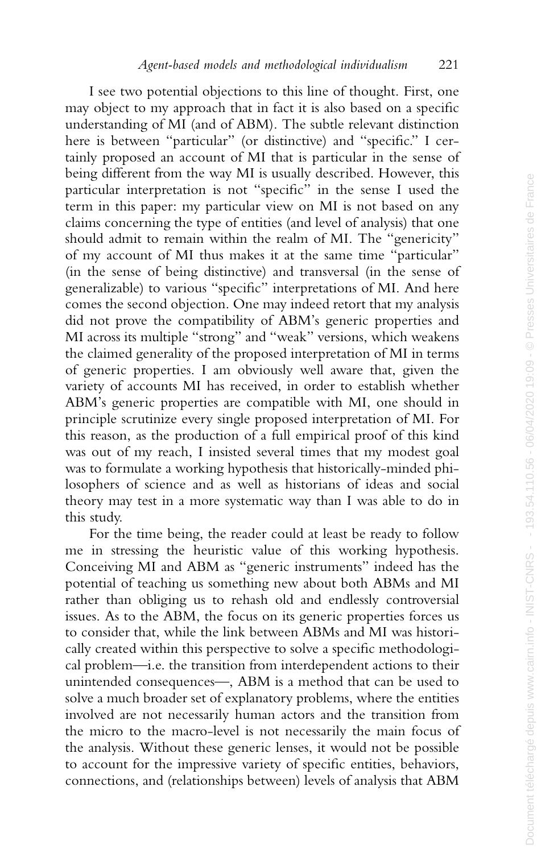I see two potential objections to this line of thought. First, one may object to my approach that in fact it is also based on a specific understanding of MI (and of ABM). The subtle relevant distinction here is between "particular" (or distinctive) and "specific." I certainly proposed an account of MI that is particular in the sense of being different from the way MI is usually described. However, this particular interpretation is not "specific" in the sense I used the term in this paper: my particular view on MI is not based on any claims concerning the type of entities (and level of analysis) that one should admit to remain within the realm of MI. The "genericity" of my account of MI thus makes it at the same time "particular" (in the sense of being distinctive) and transversal (in the sense of generalizable) to various "specific" interpretations of MI. And here comes the second objection. One may indeed retort that my analysis did not prove the compatibility of ABM's generic properties and MI across its multiple "strong" and "weak" versions, which weakens the claimed generality of the proposed interpretation of MI in terms of generic properties. I am obviously well aware that, given the variety of accounts MI has received, in order to establish whether ABM's generic properties are compatible with MI, one should in principle scrutinize every single proposed interpretation of MI. For this reason, as the production of a full empirical proof of this kind was out of my reach, I insisted several times that my modest goal was to formulate a working hypothesis that historically-minded philosophers of science and as well as historians of ideas and social theory may test in a more systematic way than I was able to do in this study.

For the time being, the reader could at least be ready to follow me in stressing the heuristic value of this working hypothesis. Conceiving MI and ABM as "generic instruments" indeed has the potential of teaching us something new about both ABMs and MI rather than obliging us to rehash old and endlessly controversial issues. As to the ABM, the focus on its generic properties forces us to consider that, while the link between ABMs and MI was historically created within this perspective to solve a specific methodological problem—i.e. the transition from interdependent actions to their unintended consequences—, ABM is a method that can be used to solve a much broader set of explanatory problems, where the entities involved are not necessarily human actors and the transition from the micro to the macro-level is not necessarily the main focus of the analysis. Without these generic lenses, it would not be possible to account for the impressive variety of specific entities, behaviors, connections, and (relationships between) levels of analysis that ABM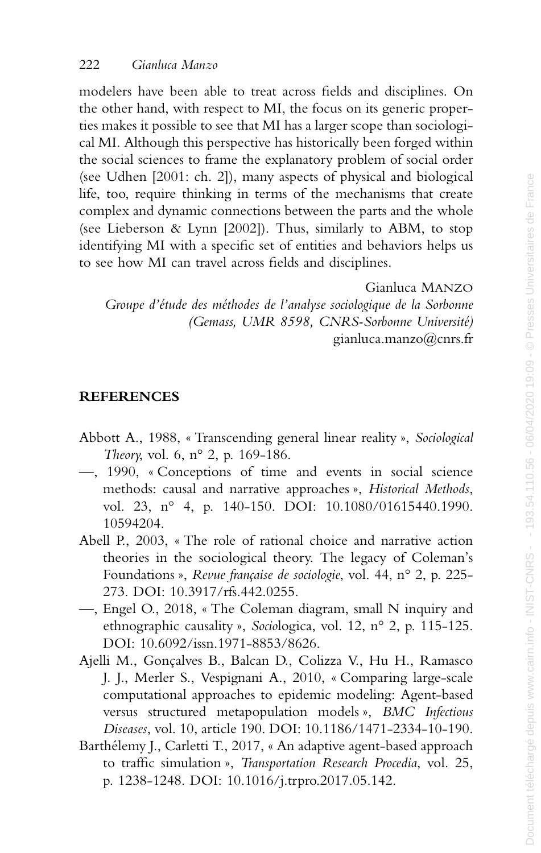modelers have been able to treat across fields and disciplines. On the other hand, with respect to MI, the focus on its generic properties makes it possible to see that MI has a larger scope than sociological MI. Although this perspective has historically been forged within the social sciences to frame the explanatory problem of social order (see Udhen [2001: ch. 2]), many aspects of physical and biological life, too, require thinking in terms of the mechanisms that create complex and dynamic connections between the parts and the whole (see Lieberson & Lynn [2002]). Thus, similarly to ABM, to stop identifying MI with a specific set of entities and behaviors helps us to see how MI can travel across fields and disciplines.

Gianluca MANZO

*Groupe d'étude des méthodes de l'analyse sociologique de la Sorbonne (Gemass, UMR 8598, CNRS-Sorbonne Université)* gianluca.manzo@cnrs.fr

# **REFERENCES**

- Abbott A., 1988, « Transcending general linear reality », *Sociological Theory*, vol. 6, n° 2, p. 169-186.
- —, 1990, « Conceptions of time and events in social science methods: causal and narrative approaches », *Historical Methods* , vol. 23, n° 4, p. 140-150. DOI: 10.1080/01615440.1990. 10594204.
- Abell P., 2003, « The role of rational choice and narrative action theories in the sociological theory. The legacy of Coleman's Foundations », *Revue française de sociologie*, vol. 44, n° 2, p. 225- 273. DOI: 10.3917/rfs.442.0255.
- —, Engel O., 2018, « The Coleman diagram, small N inquiry and ethnographic causality », *Socio*logica, vol. 12, n° 2, p. 115-125. DOI: 10.6092/issn.1971-8853/8626.
- Ajelli M., Gonçalves B., Balcan D., Colizza V., Hu H., Ramasco J. J., Merler S., Vespignani A., 2010, « Comparing large-scale computational approaches to epidemic modeling: Agent-based versus structured metapopulation models », *BMC Infectious Diseases*, vol. 10, article 190. DOI: 10.1186/1471-2334-10-190.
- Barthélemy J., Carletti T., 2017, « An adaptive agent-based approach to traffic simulation », *Transportation Research Procedia*, vol. 25, p. 1238-1248. DOI: 10.1016/j.trpro.2017.05.142.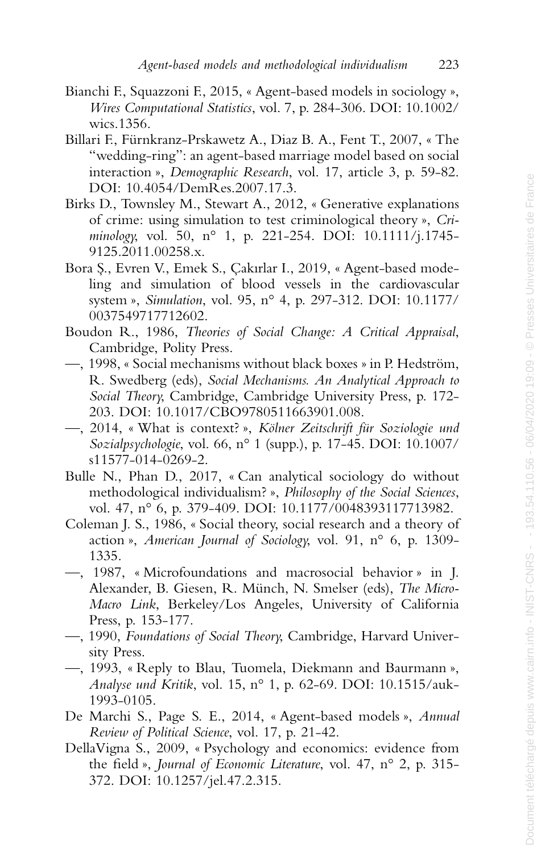- Bianchi F., Squazzoni F., 2015, « Agent-based models in sociology », *Wires Computational Statistics*, vol. 7, p. 284-306. DOI: 10.1002/ wics.1356.
- Billari F., Fürnkranz-Prskawetz A., Diaz B. A., Fent T., 2007, « The "wedding-ring": an agent-based marriage model based on social interaction », *Demographic Research*, vol. 17, article 3, p. 59-82. DOI: 10.4054/DemRes.2007.17.3.
- Birks D., Townsley M., Stewart A., 2012, « Generative explanations of crime: using simulation to test criminological theory », *Criminology*, vol. 50, n° 1, p. 221-254. DOI: 10.1111/j.1745- 9125.2011.00258.x.
- Bora S., Evren V., Emek S., Cakırlar I., 2019, « Agent-based modeling and simulation of blood vessels in the cardiovascular system », *Simulation*, vol. 95, n° 4, p. 297-312. DOI: 10.1177/ 0037549717712602.
- Boudon R., 1986, *Theories of Social Change: A Critical Appraisal* , Cambridge, Polity Press.
- —, 1998, « Social mechanisms without black boxes » in P. Hedström, R. Swedberg (eds), *Social Mechanisms. An Analytical Approach to Social Theory*, Cambridge, Cambridge University Press, p. 172- 203. DOI: 10.1017/CBO9780511663901.008.
- —, 2014, « What is context? », *Kölner Zeitschrift für Soziologie und Sozialpsychologie*, vol. 66, n° 1 (supp.), p. 17-45. DOI: 10.1007/ s11577-014-0269-2.
- Bulle N., Phan D., 2017, « Can analytical sociology do without methodological individualism? », *Philosophy of the Social Sciences* , vol. 47, n° 6, p. 379-409. DOI: 10.1177/0048393117713982.
- Coleman J. S., 1986, « Social theory, social research and a theory of action », *American Journal of Sociology*, vol. 91, n° 6, p. 1309- 1335.
- —, 1987, « Microfoundations and macrosocial behavior » in J. Alexander, B. Giesen, R. Münch, N. Smelser (eds), *The Micro-Macro Link*, Berkeley/Los Angeles, University of California Press, p. 153-177.
- —, 1990, *Foundations of Social Theory*, Cambridge, Harvard University Press.
- —, 1993, « Reply to Blau, Tuomela, Diekmann and Baurmann », *Analyse und Kritik*, vol. 15, n° 1, p. 62-69. DOI: 10.1515/auk-1993-0105.
- De Marchi S., Page S. E., 2014, « Agent-based models », *Annual Review of Political Science*, vol. 17, p. 21-42.
- DellaVigna S., 2009, « Psychology and economics: evidence from the field », *Journal of Economic Literature*, vol. 47, n° 2, p. 315- 372. DOI: 10.1257/jel.47.2.315.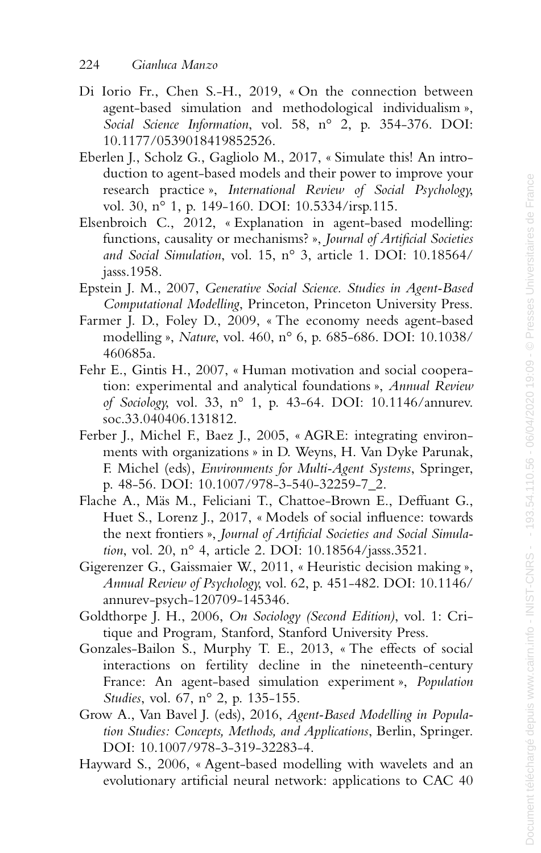- Di Iorio Fr., Chen S.-H., 2019, « On the connection between agent-based simulation and methodological individualism », *Social Science Information*, vol. 58, n° 2, p. 354-376. DOI: 10.1177/0539018419852526.
- Eberlen J., Scholz G., Gagliolo M., 2017, « Simulate this! An introduction to agent-based models and their power to improve your research practice », *International Review of Social Psychology*, vol. 30, n° 1, p. 149-160. DOI: 10.5334/irsp.115.
- Elsenbroich C., 2012, « Explanation in agent-based modelling: functions, causality or mechanisms? », *Journal of Artificial Societies and Social Simulation*, vol. 15, n° 3, article 1. DOI: 10.18564/ jasss.1958.
- Epstein J. M., 2007, *Generative Social Science. Studies in Agent-Based Computational Modelling*, Princeton, Princeton University Press.
- Farmer J. D., Foley D., 2009, « The economy needs agent-based modelling », *Nature*, vol. 460, n° 6, p. 685-686. DOI: 10.1038/ 460685a.
- Fehr E., Gintis H., 2007, « Human motivation and social cooperation: experimental and analytical foundations », *Annual Review of Sociology*, vol. 33, n° 1, p. 43-64. DOI: 10.1146/annurev. soc.33.040406.131812.
- Ferber J., Michel F., Baez J., 2005, « AGRE: integrating environments with organizations » in D. Weyns, H. Van Dyke Parunak, F. Michel (eds), *Environments for Multi-Agent Systems*, Springer, p. 48-56. DOI: 10.1007/978-3-540-32259-7\_2.
- Flache A., Mäs M., Feliciani T., Chattoe-Brown E., Deffuant G., Huet S., Lorenz J., 2017, « Models of social influence: towards the next frontiers », *Journal of Artificial Societies and Social Simulation*, vol. 20, n° 4, article 2. DOI: 10.18564/jasss.3521.
- Gigerenzer G., Gaissmaier W., 2011, « Heuristic decision making », *Annual Review of Psychology*, vol. 62, p. 451-482. DOI: 10.1146/ annurev-psych-120709-145346.
- Goldthorpe J. H., 2006, *On Sociology (Second Edition)*, vol. 1: Critique and Program*,* Stanford, Stanford University Press.
- Gonzales-Bailon S., Murphy T. E., 2013, « The effects of social interactions on fertility decline in the nineteenth-century France: An agent-based simulation experiment », *Population Studies*, vol. 67, n° 2, p. 135-155.
- Grow A., Van Bavel J. (eds), 2016, *Agent-Based Modelling in Population Studies: Concepts, Methods, and Applications*, Berlin, Springer. DOI: 10.1007/978-3-319-32283-4.
- Hayward S., 2006, « Agent-based modelling with wavelets and an evolutionary artificial neural network: applications to CAC 40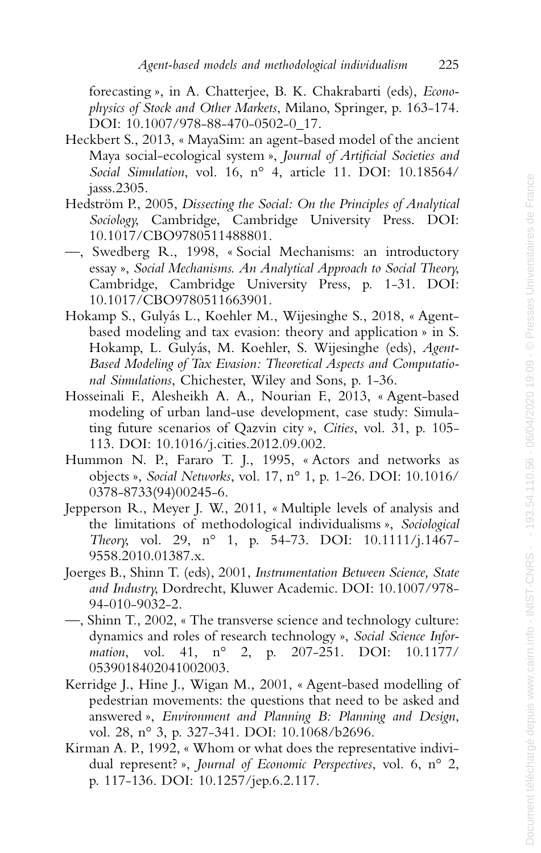forecasting », in A. Chatterjee, B. K. Chakrabarti (eds), *Econophysics of Stock and Other Markets*, Milano, Springer, p. 163-174. DOI: 10.1007/978-88-470-0502-0\_17.

- Heckbert S., 2013, « MayaSim: an agent-based model of the ancient Maya social-ecological system », *Journal of Artificial Societies and Social Simulation*, vol. 16, n° 4, article 11. DOI: 10.18564/ jasss.2305.
- Hedström P., 2005, *Dissecting the Social: On the Principles of Analytical Sociology*, Cambridge, Cambridge University Press. DOI: 10.1017/CBO9780511488801.
- —, Swedberg R., 1998, « Social Mechanisms: an introductory essay », *Social Mechanisms. An Analytical Approach to Social Theory*, Cambridge, Cambridge University Press, p. 1-31. DOI: 10.1017/CBO9780511663901.
- Hokamp S., Gulyás L., Koehler M., Wijesinghe S., 2018, « Agentbased modeling and tax evasion: theory and application » in S. Hokamp, L. Gulyás, M. Koehler, S. Wijesinghe (eds), *Agent-Based Modeling of Tax Evasion: Theoretical Aspects and Computational Simulations*, Chichester, Wiley and Sons, p. 1-36.
- Hosseinali F., Alesheikh A. A., Nourian F., 2013, « Agent-based modeling of urban land-use development, case study: Simulating future scenarios of Qazvin city », *Cities*, vol. 31, p. 105- 113. DOI: 10.1016/j.cities.2012.09.002.
- Hummon N. P., Fararo T. J., 1995, « Actors and networks as objects », *Social Networks*, vol. 17, n° 1, p. 1-26. DOI: 10.1016/ 0378-8733(94)00245-6.
- Jepperson R., Meyer J. W., 2011, « Multiple levels of analysis and the limitations of methodological individualisms », *Sociological Theory*, vol. 29, n° 1, p. 54-73. DOI: 10.1111/j.1467- 9558.2010.01387.x.
- Joerges B., Shinn T. (eds), 2001, *Instrumentation Between Science, State and Industry*, Dordrecht, Kluwer Academic. DOI: 10.1007/978- 94-010-9032-2.
- —, Shinn T., 2002, « The transverse science and technology culture: dynamics and roles of research technology », *Social Science Information*, vol. 41, n° 2, p. 207-251. DOI: 10.1177/ 0539018402041002003.
- Kerridge J., Hine J., Wigan M., 2001, « Agent-based modelling of pedestrian movements: the questions that need to be asked and answered », *Environment and Planning B: Planning and Design* , vol. 28, n° 3, p. 327-341. DOI: 10.1068/b2696.
- Kirman A. P., 1992, « Whom or what does the representative individual represent? », *Journal of Economic Perspectives*, vol. 6, n° 2, p. 117-136. DOI: 10.1257/jep.6.2.117.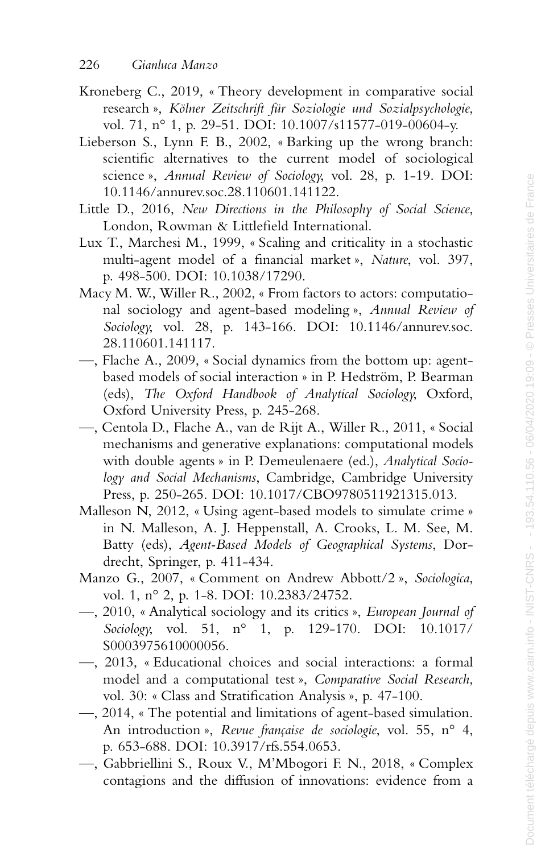- Kroneberg C., 2019, « Theory development in comparative social research », *Kölner Zeitschrift für Soziologie und Sozialpsychologie* , vol. 71, n° 1, p. 29-51. DOI: 10.1007/s11577-019-00604-y.
- Lieberson S., Lynn F. B., 2002, « Barking up the wrong branch: scientific alternatives to the current model of sociological science », *Annual Review of Sociology*, vol. 28, p. 1-19. DOI: 10.1146/annurev.soc.28.110601.141122.
- Little D., 2016, *New Directions in the Philosophy of Social Science* , London, Rowman & Littlefield International.
- Lux T., Marchesi M., 1999, « Scaling and criticality in a stochastic multi-agent model of a financial market », *Nature*, vol. 397, p. 498-500. DOI: 10.1038/17290.
- Macy M. W., Willer R., 2002, « From factors to actors: computational sociology and agent-based modeling », *Annual Review of Sociology*, vol. 28, p. 143-166. DOI: 10.1146/annurev.soc. 28.110601.141117.
- —, Flache A., 2009, « Social dynamics from the bottom up: agentbased models of social interaction » in P. Hedström, P. Bearman (eds), *The Oxford Handbook of Analytical Sociology*, Oxford, Oxford University Press, p. 245-268.
- —, Centola D., Flache A., van de Rijt A., Willer R., 2011, « Social mechanisms and generative explanations: computational models with double agents » in P. Demeulenaere (ed.), *Analytical Sociology and Social Mechanisms*, Cambridge, Cambridge University Press, p. 250-265. DOI: 10.1017/CBO9780511921315.013.
- Malleson N, 2012, « Using agent-based models to simulate crime » in N. Malleson, A. J. Heppenstall, A. Crooks, L. M. See, M. Batty (eds), *Agent-Based Models of Geographical Systems*, Dordrecht, Springer, p. 411-434.
- Manzo G., 2007, « Comment on Andrew Abbott/2 », *Sociologica* , vol. 1, n° 2, p. 1-8. DOI: 10.2383/24752.
- —, 2010, « Analytical sociology and its critics », *European Journal of Sociology*, vol. 51, n° 1, p. 129-170. DOI: 10.1017/ S0003975610000056.
- —, 2013, « Educational choices and social interactions: a formal model and a computational test », *Comparative Social Research* , vol. 30: « Class and Stratification Analysis », p. 47-100.
- —, 2014, « The potential and limitations of agent-based simulation. An introduction », *Revue française de sociologie*, vol. 55, n° 4, p. 653-688. DOI: 10.3917/rfs.554.0653.
- —, Gabbriellini S., Roux V., M'Mbogori F. N., 2018, « Complex contagions and the diffusion of innovations: evidence from a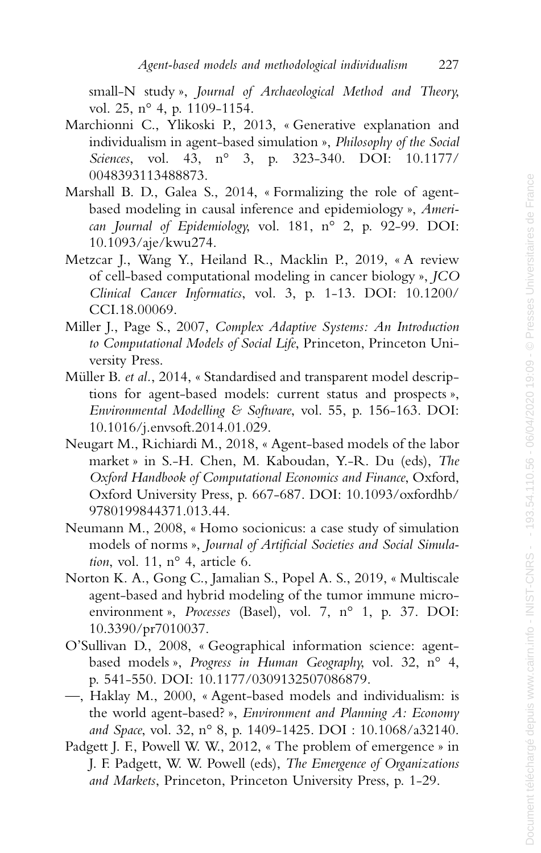small-N study », *Journal of Archaeological Method and Theory*, vol. 25, n° 4, p. 1109-1154.

- Marchionni C., Ylikoski P., 2013, « Generative explanation and individualism in agent-based simulation », *Philosophy of the Social Sciences*, vol. 43, n° 3, p. 323-340. DOI: 10.1177/ 0048393113488873.
- Marshall B. D., Galea S., 2014, « Formalizing the role of agentbased modeling in causal inference and epidemiology », *American Journal of Epidemiology*, vol. 181, n° 2, p. 92-99. DOI: 10.1093/aje/kwu274.
- Metzcar J., Wang Y., Heiland R., Macklin P., 2019, « A review of cell-based computational modeling in cancer biology », *JCO Clinical Cancer Informatics*, vol. 3, p. 1-13. DOI: 10.1200/ CCI.18.00069.
- Miller J., Page S., 2007, *Complex Adaptive Systems: An Introduction to Computational Models of Social Life*, Princeton, Princeton University Press.
- Müller B. *et al.*, 2014, « Standardised and transparent model descriptions for agent-based models: current status and prospects », *Environmental Modelling & Software*, vol. 55, p. 156-163. DOI: 10.1016/j.envsoft.2014.01.029.
- Neugart M., Richiardi M., 2018, « Agent-based models of the labor market » in S.-H. Chen, M. Kaboudan, Y.-R. Du (eds), *The Oxford Handbook of Computational Economics and Finance*, Oxford, Oxford University Press, p. 667-687. DOI: 10.1093/oxfordhb/ 9780199844371.013.44.
- Neumann M., 2008, « Homo socionicus: a case study of simulation models of norms », *Journal of Artificial Societies and Social Simulation*, vol. 11, n° 4, article 6.
- Norton K. A., Gong C., Jamalian S., Popel A. S., 2019, « Multiscale agent-based and hybrid modeling of the tumor immune microenvironment », *Processes* (Basel), vol. 7, n° 1, p. 37. DOI: 10.3390/pr7010037.
- O'Sullivan D., 2008, « Geographical information science: agentbased models », *Progress in Human Geography*, vol. 32, n° 4, p. 541-550. DOI: 10.1177/0309132507086879.
- —, Haklay M., 2000, « Agent-based models and individualism: is the world agent-based? », *Environment and Planning A: Economy and Space*, vol. 32, n° 8, p. 1409-1425. DOI : 10.1068/a32140.
- Padgett J. F., Powell W. W., 2012, « The problem of emergence » in J. F. Padgett, W. W. Powell (eds), *The Emergence of Organizations and Markets*, Princeton, Princeton University Press, p. 1-29.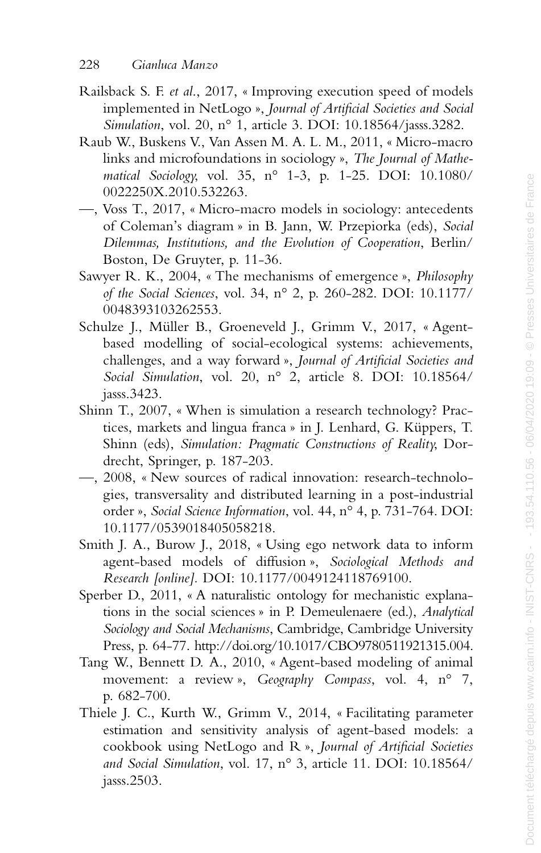- Railsback S. F. *et al*., 2017, « Improving execution speed of models implemented in NetLogo », *Journal of Artificial Societies and Social Simulation*, vol. 20, n° 1, article 3. DOI: 10.18564/jasss.3282.
- Raub W., Buskens V., Van Assen M. A. L. M., 2011, « Micro-macro links and microfoundations in sociology », *The Journal of Mathematical Sociology*, vol. 35, n° 1-3, p. 1-25. DOI: 10.1080/ 0022250X.2010.532263.
- —, Voss T., 2017, « Micro-macro models in sociology: antecedents of Coleman's diagram » in B. Jann, W. Przepiorka (eds), *Social Dilemmas, Institutions, and the Evolution of Cooperation*, Berlin/ Boston, De Gruyter, p. 11-36.
- Sawyer R. K., 2004, « The mechanisms of emergence », *Philosophy of the Social Sciences*, vol. 34, n° 2, p. 260-282. DOI: 10.1177/ 0048393103262553.
- Schulze J., Müller B., Groeneveld J., Grimm V., 2017, « Agentbased modelling of social-ecological systems: achievements, challenges, and a way forward », *Journal of Artificial Societies and Social Simulation*, vol. 20, n° 2, article 8. DOI: 10.18564/ jasss.3423.
- Shinn T., 2007, « When is simulation a research technology? Practices, markets and lingua franca » in J. Lenhard, G. Küppers, T. Shinn (eds), *Simulation: Pragmatic Constructions of Reality*, Dordrecht, Springer, p. 187-203.
- —, 2008, « New sources of radical innovation: research-technologies, transversality and distributed learning in a post-industrial order », *Social Science Information*, vol. 44, n° 4, p. 731-764. DOI: 10.1177/0539018405058218.
- Smith J. A., Burow J., 2018, « Using ego network data to inform agent-based models of diffusion », *Sociological Methods and Research [online].* DOI: 10.1177/0049124118769100.
- Sperber D., 2011, « A naturalistic ontology for mechanistic explanations in the social sciences » in P. Demeulenaere (ed.), *Analytical Sociology and Social Mechanisms*, Cambridge, Cambridge University Press, p. 64-77. http://doi.org/10.1017/CBO9780511921315.004.
- Tang W., Bennett D. A., 2010, « Agent-based modeling of animal movement: a review », *Geography Compass*, vol. 4, n° 7, p. 682-700.
- Thiele J. C., Kurth W., Grimm V., 2014, « Facilitating parameter estimation and sensitivity analysis of agent-based models: a cookbook using NetLogo and R », *Journal of Artificial Societies and Social Simulation*, vol. 17, n° 3, article 11. DOI: 10.18564/ jasss.2503.